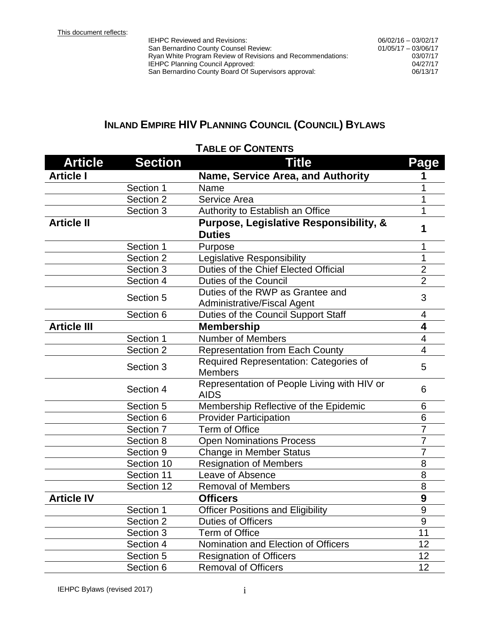IEHPC Reviewed and Revisions: San Bernardino County Counsel Review: Ryan White Program Review of Revisions and Recommendations: IEHPC Planning Council Approved:<br>
San Bernardino County Board Of Supervisors approval:<br>
06/13/17 San Bernardino County Board Of Supervisors approval:

## **INLAND EMPIRE HIV PLANNING COUNCIL (COUNCIL) BYLAWS**

| <b>Article</b>     | <b>Section</b> | <b>Title</b>                                | Page             |  |
|--------------------|----------------|---------------------------------------------|------------------|--|
| <b>Article I</b>   |                | Name, Service Area, and Authority           |                  |  |
|                    | Section 1      | Name                                        |                  |  |
|                    | Section 2      | Service Area                                | 1                |  |
|                    | Section 3      | Authority to Establish an Office            | 1                |  |
| <b>Article II</b>  |                | Purpose, Legislative Responsibility, &      |                  |  |
|                    |                | <b>Duties</b>                               | 1                |  |
|                    | Section 1      | Purpose                                     | 1                |  |
|                    | Section 2      | Legislative Responsibility                  | 1                |  |
|                    | Section 3      | Duties of the Chief Elected Official        | $\overline{2}$   |  |
|                    | Section 4      | <b>Duties of the Council</b>                | $\overline{2}$   |  |
|                    | Section 5      | Duties of the RWP as Grantee and            | 3                |  |
|                    |                | <b>Administrative/Fiscal Agent</b>          |                  |  |
|                    | Section 6      | Duties of the Council Support Staff         | 4                |  |
| <b>Article III</b> |                | <b>Membership</b>                           | 4                |  |
|                    | Section 1      | <b>Number of Members</b>                    | 4                |  |
|                    | Section 2      | <b>Representation from Each County</b>      | 4                |  |
|                    | Section 3      | Required Representation: Categories of      | 5                |  |
|                    |                | <b>Members</b>                              |                  |  |
|                    | Section 4      | Representation of People Living with HIV or | 6                |  |
|                    |                | <b>AIDS</b>                                 |                  |  |
|                    | Section 5      | Membership Reflective of the Epidemic       | 6                |  |
|                    | Section 6      | <b>Provider Participation</b>               | 6                |  |
|                    | Section 7      | <b>Term of Office</b>                       | $\overline{7}$   |  |
|                    | Section 8      | <b>Open Nominations Process</b>             | $\overline{7}$   |  |
|                    | Section 9      | <b>Change in Member Status</b>              | $\overline{7}$   |  |
|                    | Section 10     | <b>Resignation of Members</b>               | 8                |  |
|                    | Section 11     | Leave of Absence                            | 8                |  |
|                    | Section 12     | <b>Removal of Members</b>                   | 8                |  |
| <b>Article IV</b>  |                | <b>Officers</b>                             | $\boldsymbol{9}$ |  |
|                    | Section 1      | <b>Officer Positions and Eligibility</b>    | $\mathsf{Q}$     |  |
|                    | Section 2      | Duties of Officers                          | 9                |  |
|                    | Section 3      | <b>Term of Office</b>                       | 11               |  |
|                    | Section 4      | Nomination and Election of Officers         | 12               |  |
|                    | Section 5      | <b>Resignation of Officers</b>              | 12               |  |
|                    | Section 6      | <b>Removal of Officers</b>                  | 12               |  |

## **TABLE OF CONTENTS**

IEHPC Bylaws (revised 2017) intervals of the system of the system of the system of the system of the system of the system of the system of the system of the system of the system of the system of the system of the system of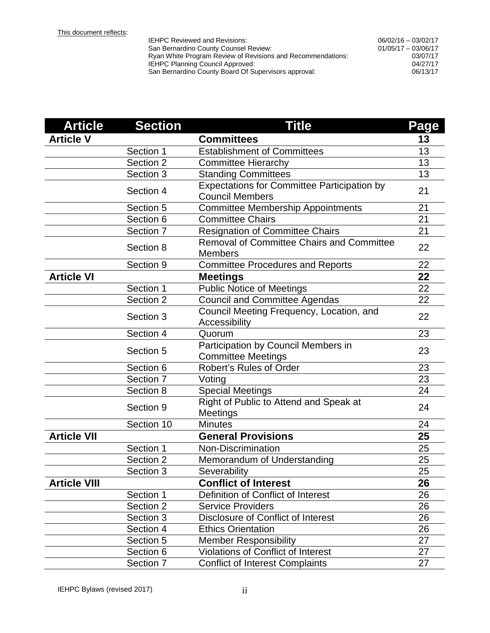| <b>IEHPC Reviewed and Revisions:</b>                        | $06/02/16 - 03/02/17$ |
|-------------------------------------------------------------|-----------------------|
| San Bernardino County Counsel Review:                       | $01/05/17 - 03/06/17$ |
| Ryan White Program Review of Revisions and Recommendations: | 03/07/17              |
| IEHPC Planning Council Approved:                            | 04/27/17              |
| San Bernardino County Board Of Supervisors approval:        | 06/13/17              |
|                                                             |                       |

| <b>Article</b>      | <b>Section</b> | <b>Title</b>                                                                 | Page |
|---------------------|----------------|------------------------------------------------------------------------------|------|
| <b>Article V</b>    |                | <b>Committees</b>                                                            | 13   |
|                     | Section 1      | <b>Establishment of Committees</b>                                           | 13   |
|                     | Section 2      | <b>Committee Hierarchy</b>                                                   | 13   |
|                     | Section 3      | <b>Standing Committees</b>                                                   | 13   |
|                     | Section 4      | <b>Expectations for Committee Participation by</b><br><b>Council Members</b> | 21   |
|                     | Section 5      | <b>Committee Membership Appointments</b>                                     | 21   |
|                     | Section 6      | <b>Committee Chairs</b>                                                      | 21   |
|                     | Section 7      | <b>Resignation of Committee Chairs</b>                                       | 21   |
|                     | Section 8      | <b>Removal of Committee Chairs and Committee</b><br><b>Members</b>           | 22   |
|                     | Section 9      | <b>Committee Procedures and Reports</b>                                      | 22   |
| <b>Article VI</b>   |                | <b>Meetings</b>                                                              | 22   |
|                     | Section 1      | <b>Public Notice of Meetings</b>                                             | 22   |
|                     | Section 2      | <b>Council and Committee Agendas</b>                                         | 22   |
|                     | Section 3      | Council Meeting Frequency, Location, and<br>Accessibility                    | 22   |
|                     | Section 4      | Quorum                                                                       | 23   |
|                     | Section 5      | Participation by Council Members in<br><b>Committee Meetings</b>             |      |
|                     | Section 6      | <b>Robert's Rules of Order</b>                                               | 23   |
|                     | Section 7      | Voting                                                                       | 23   |
|                     | Section 8      | <b>Special Meetings</b>                                                      | 24   |
|                     | Section 9      | Right of Public to Attend and Speak at<br>Meetings                           | 24   |
|                     | Section 10     | <b>Minutes</b>                                                               | 24   |
| <b>Article VII</b>  |                | <b>General Provisions</b>                                                    | 25   |
|                     | Section 1      | <b>Non-Discrimination</b>                                                    | 25   |
|                     | Section 2      | Memorandum of Understanding                                                  | 25   |
|                     | Section 3      | Severability                                                                 | 25   |
| <b>Article VIII</b> |                | <b>Conflict of Interest</b>                                                  | 26   |
|                     | Section 1      | Definition of Conflict of Interest                                           | 26   |
|                     | Section 2      | <b>Service Providers</b>                                                     | 26   |
|                     | Section 3      | Disclosure of Conflict of Interest                                           | 26   |
|                     | Section 4      | <b>Ethics Orientation</b>                                                    | 26   |
|                     | Section 5      | <b>Member Responsibility</b>                                                 | 27   |
|                     | Section 6      | <b>Violations of Conflict of Interest</b>                                    | 27   |
|                     | Section 7      | <b>Conflict of Interest Complaints</b>                                       | 27   |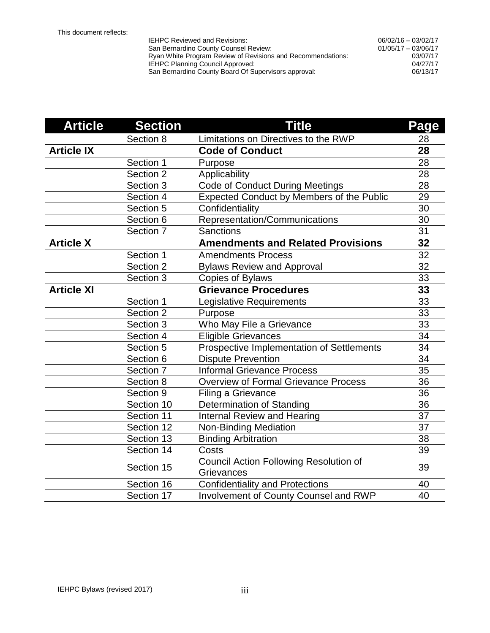| <b>IEHPC Reviewed and Revisions:</b>                        | $06/02/16 - 03/02/17$ |
|-------------------------------------------------------------|-----------------------|
| San Bernardino County Counsel Review:                       | $01/05/17 - 03/06/17$ |
| Ryan White Program Review of Revisions and Recommendations: | 03/07/17              |
| IEHPC Planning Council Approved:                            | 04/27/17              |
| San Bernardino County Board Of Supervisors approval:        | 06/13/17              |
|                                                             |                       |

| <b>Article</b>    | <b>Section</b> | <b>Title</b>                                                | Page            |
|-------------------|----------------|-------------------------------------------------------------|-----------------|
|                   | Section 8      | Limitations on Directives to the RWP                        | 28              |
| <b>Article IX</b> |                | <b>Code of Conduct</b>                                      | 28              |
|                   | Section 1      | Purpose                                                     | 28              |
|                   | Section 2      | Applicability                                               | 28              |
|                   | Section 3      | <b>Code of Conduct During Meetings</b>                      | 28              |
|                   | Section 4      | <b>Expected Conduct by Members of the Public</b>            | 29              |
|                   | Section 5      | Confidentiality                                             | 30              |
|                   | Section 6      | Representation/Communications                               | 30              |
|                   | Section 7      | <b>Sanctions</b>                                            | 31              |
| <b>Article X</b>  |                | <b>Amendments and Related Provisions</b>                    | 32              |
|                   | Section 1      | <b>Amendments Process</b>                                   | 32              |
|                   | Section 2      | <b>Bylaws Review and Approval</b>                           | $\overline{3}2$ |
|                   | Section 3      | Copies of Bylaws                                            | 33              |
| <b>Article XI</b> |                | <b>Grievance Procedures</b>                                 | 33              |
|                   | Section 1      | Legislative Requirements                                    | 33              |
|                   | Section 2      | Purpose                                                     | 33              |
|                   | Section 3      | Who May File a Grievance                                    | 33              |
|                   | Section 4      | <b>Eligible Grievances</b>                                  | 34              |
|                   | Section 5      | Prospective Implementation of Settlements                   | 34              |
|                   | Section 6      | <b>Dispute Prevention</b>                                   | 34              |
|                   | Section 7      | <b>Informal Grievance Process</b>                           | 35              |
|                   | Section 8      | <b>Overview of Formal Grievance Process</b>                 | 36              |
|                   | Section 9      | Filing a Grievance                                          | 36              |
|                   | Section 10     | Determination of Standing                                   | 36              |
|                   | Section 11     | <b>Internal Review and Hearing</b>                          | 37              |
|                   | Section 12     | <b>Non-Binding Mediation</b>                                | 37              |
|                   | Section 13     | <b>Binding Arbitration</b>                                  | 38              |
|                   | Section 14     | Costs                                                       | 39              |
|                   | Section 15     | <b>Council Action Following Resolution of</b><br>Grievances | 39              |
|                   | Section 16     | <b>Confidentiality and Protections</b>                      | 40              |
|                   | Section 17     | Involvement of County Counsel and RWP                       | 40              |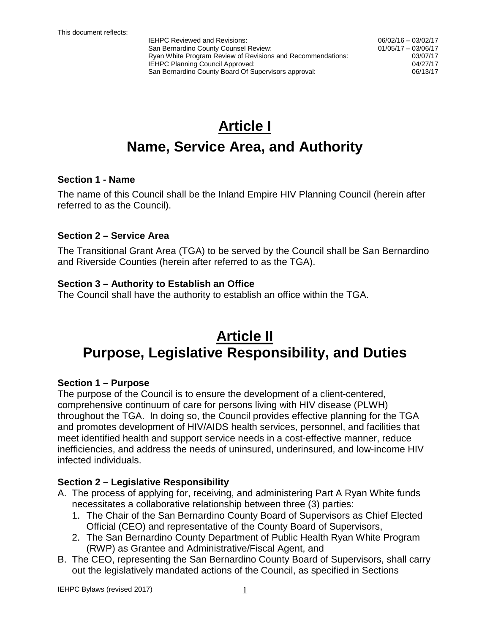# **Article I Name, Service Area, and Authority**

#### **Section 1 - Name**

The name of this Council shall be the Inland Empire HIV Planning Council (herein after referred to as the Council).

#### **Section 2 – Service Area**

The Transitional Grant Area (TGA) to be served by the Council shall be San Bernardino and Riverside Counties (herein after referred to as the TGA).

#### **Section 3 – Authority to Establish an Office**

The Council shall have the authority to establish an office within the TGA.

## **Article II Purpose, Legislative Responsibility, and Duties**

#### **Section 1 – Purpose**

The purpose of the Council is to ensure the development of a client-centered, comprehensive continuum of care for persons living with HIV disease (PLWH) throughout the TGA. In doing so, the Council provides effective planning for the TGA and promotes development of HIV/AIDS health services, personnel, and facilities that meet identified health and support service needs in a cost-effective manner, reduce inefficiencies, and address the needs of uninsured, underinsured, and low-income HIV infected individuals.

#### **Section 2 – Legislative Responsibility**

- A. The process of applying for, receiving, and administering Part A Ryan White funds necessitates a collaborative relationship between three (3) parties:
	- 1. The Chair of the San Bernardino County Board of Supervisors as Chief Elected Official (CEO) and representative of the County Board of Supervisors,
	- 2. The San Bernardino County Department of Public Health Ryan White Program (RWP) as Grantee and Administrative/Fiscal Agent, and
- B. The CEO, representing the San Bernardino County Board of Supervisors, shall carry out the legislatively mandated actions of the Council, as specified in Sections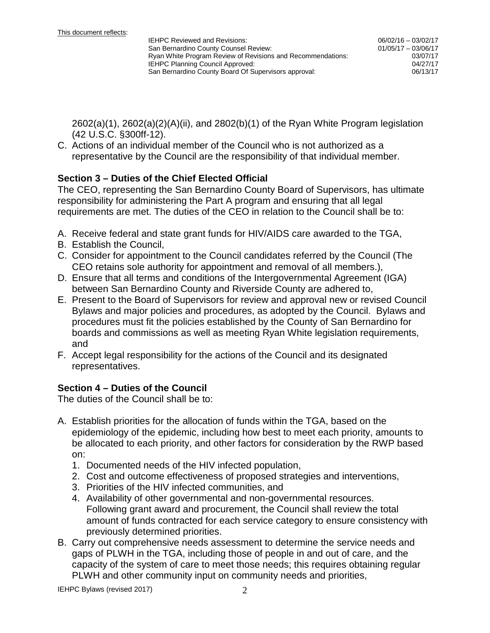2602(a)(1), 2602(a)(2)(A)(ii), and 2802(b)(1) of the Ryan White Program legislation (42 U.S.C. §300ff-12).

C. Actions of an individual member of the Council who is not authorized as a representative by the Council are the responsibility of that individual member.

#### **Section 3 – Duties of the Chief Elected Official**

The CEO, representing the San Bernardino County Board of Supervisors, has ultimate responsibility for administering the Part A program and ensuring that all legal requirements are met. The duties of the CEO in relation to the Council shall be to:

- A. Receive federal and state grant funds for HIV/AIDS care awarded to the TGA,
- B. Establish the Council,
- C. Consider for appointment to the Council candidates referred by the Council (The CEO retains sole authority for appointment and removal of all members.),
- D. Ensure that all terms and conditions of the Intergovernmental Agreement (IGA) between San Bernardino County and Riverside County are adhered to,
- E. Present to the Board of Supervisors for review and approval new or revised Council Bylaws and major policies and procedures, as adopted by the Council. Bylaws and procedures must fit the policies established by the County of San Bernardino for boards and commissions as well as meeting Ryan White legislation requirements, and
- F. Accept legal responsibility for the actions of the Council and its designated representatives.

## **Section 4 – Duties of the Council**

The duties of the Council shall be to:

- A. Establish priorities for the allocation of funds within the TGA, based on the epidemiology of the epidemic, including how best to meet each priority, amounts to be allocated to each priority, and other factors for consideration by the RWP based on:
	- 1. Documented needs of the HIV infected population,
	- 2. Cost and outcome effectiveness of proposed strategies and interventions,
	- 3. Priorities of the HIV infected communities, and
	- 4. Availability of other governmental and non-governmental resources. Following grant award and procurement, the Council shall review the total amount of funds contracted for each service category to ensure consistency with previously determined priorities.
- B. Carry out comprehensive needs assessment to determine the service needs and gaps of PLWH in the TGA, including those of people in and out of care, and the capacity of the system of care to meet those needs; this requires obtaining regular PLWH and other community input on community needs and priorities,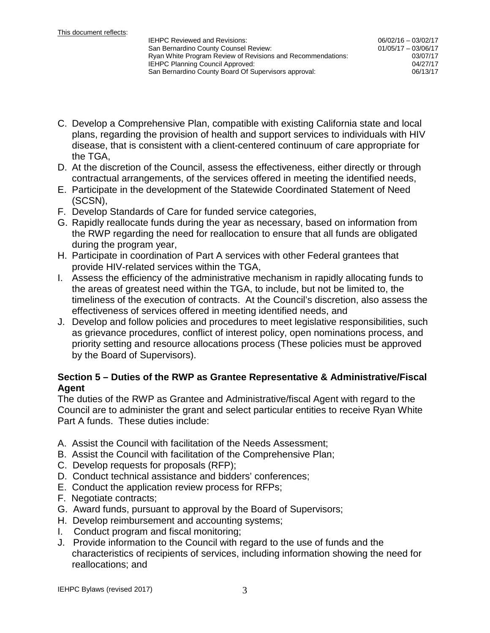- C. Develop a Comprehensive Plan, compatible with existing California state and local plans, regarding the provision of health and support services to individuals with HIV disease, that is consistent with a client-centered continuum of care appropriate for the TGA,
- D. At the discretion of the Council, assess the effectiveness, either directly or through contractual arrangements, of the services offered in meeting the identified needs,
- E. Participate in the development of the Statewide Coordinated Statement of Need (SCSN),
- F. Develop Standards of Care for funded service categories,
- G. Rapidly reallocate funds during the year as necessary, based on information from the RWP regarding the need for reallocation to ensure that all funds are obligated during the program year,
- H. Participate in coordination of Part A services with other Federal grantees that provide HIV-related services within the TGA,
- I. Assess the efficiency of the administrative mechanism in rapidly allocating funds to the areas of greatest need within the TGA, to include, but not be limited to, the timeliness of the execution of contracts. At the Council's discretion, also assess the effectiveness of services offered in meeting identified needs, and
- J. Develop and follow policies and procedures to meet legislative responsibilities, such as grievance procedures, conflict of interest policy, open nominations process, and priority setting and resource allocations process (These policies must be approved by the Board of Supervisors).

#### **Section 5 – Duties of the RWP as Grantee Representative & Administrative/Fiscal Agent**

The duties of the RWP as Grantee and Administrative/fiscal Agent with regard to the Council are to administer the grant and select particular entities to receive Ryan White Part A funds. These duties include:

- A. Assist the Council with facilitation of the Needs Assessment;
- B. Assist the Council with facilitation of the Comprehensive Plan;
- C. Develop requests for proposals (RFP);
- D. Conduct technical assistance and bidders' conferences;
- E. Conduct the application review process for RFPs;
- F. Negotiate contracts;
- G. Award funds, pursuant to approval by the Board of Supervisors;
- H. Develop reimbursement and accounting systems;
- I. Conduct program and fiscal monitoring;
- J. Provide information to the Council with regard to the use of funds and the characteristics of recipients of services, including information showing the need for reallocations; and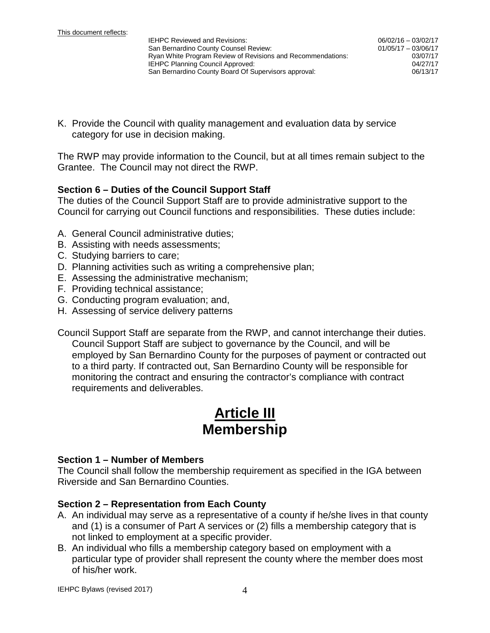K. Provide the Council with quality management and evaluation data by service category for use in decision making.

The RWP may provide information to the Council, but at all times remain subject to the Grantee. The Council may not direct the RWP.

#### **Section 6 – Duties of the Council Support Staff**

The duties of the Council Support Staff are to provide administrative support to the Council for carrying out Council functions and responsibilities. These duties include:

- A. General Council administrative duties;
- B. Assisting with needs assessments;
- C. Studying barriers to care;
- D. Planning activities such as writing a comprehensive plan;
- E. Assessing the administrative mechanism;
- F. Providing technical assistance;
- G. Conducting program evaluation; and,
- H. Assessing of service delivery patterns

Council Support Staff are separate from the RWP, and cannot interchange their duties. Council Support Staff are subject to governance by the Council, and will be employed by San Bernardino County for the purposes of payment or contracted out to a third party. If contracted out, San Bernardino County will be responsible for monitoring the contract and ensuring the contractor's compliance with contract requirements and deliverables.

## **Article III Membership**

#### **Section 1 – Number of Members**

The Council shall follow the membership requirement as specified in the IGA between Riverside and San Bernardino Counties.

#### **Section 2 – Representation from Each County**

- A. An individual may serve as a representative of a county if he/she lives in that county and (1) is a consumer of Part A services or (2) fills a membership category that is not linked to employment at a specific provider.
- B. An individual who fills a membership category based on employment with a particular type of provider shall represent the county where the member does most of his/her work.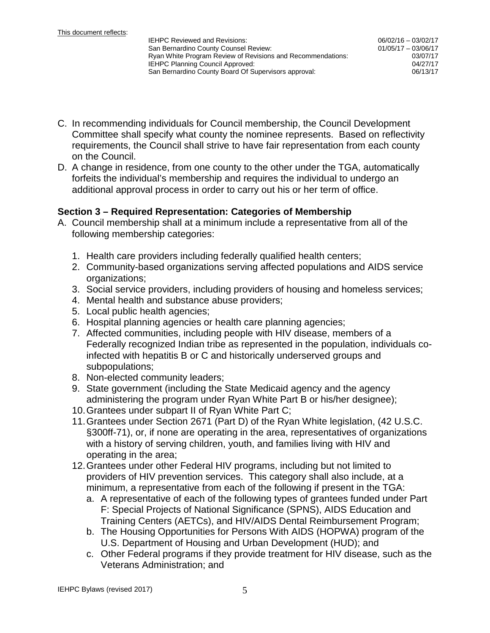- C. In recommending individuals for Council membership, the Council Development Committee shall specify what county the nominee represents. Based on reflectivity requirements, the Council shall strive to have fair representation from each county on the Council.
- D. A change in residence, from one county to the other under the TGA, automatically forfeits the individual's membership and requires the individual to undergo an additional approval process in order to carry out his or her term of office.

#### **Section 3 – Required Representation: Categories of Membership**

- A. Council membership shall at a minimum include a representative from all of the following membership categories:
	- 1. Health care providers including federally qualified health centers;
	- 2. Community-based organizations serving affected populations and AIDS service organizations;
	- 3. Social service providers, including providers of housing and homeless services;
	- 4. Mental health and substance abuse providers;
	- 5. Local public health agencies;
	- 6. Hospital planning agencies or health care planning agencies;
	- 7. Affected communities, including people with HIV disease, members of a Federally recognized Indian tribe as represented in the population, individuals coinfected with hepatitis B or C and historically underserved groups and subpopulations;
	- 8. Non-elected community leaders;
	- 9. State government (including the State Medicaid agency and the agency administering the program under Ryan White Part B or his/her designee);
	- 10.Grantees under subpart II of Ryan White Part C;
	- 11.Grantees under Section 2671 (Part D) of the Ryan White legislation, (42 U.S.C. §300ff-71), or, if none are operating in the area, representatives of organizations with a history of serving children, youth, and families living with HIV and operating in the area;
	- 12.Grantees under other Federal HIV programs, including but not limited to providers of HIV prevention services. This category shall also include, at a minimum, a representative from each of the following if present in the TGA:
		- a. A representative of each of the following types of grantees funded under Part F: Special Projects of National Significance (SPNS), AIDS Education and Training Centers (AETCs), and HIV/AIDS Dental Reimbursement Program;
		- b. The Housing Opportunities for Persons With AIDS (HOPWA) program of the U.S. Department of Housing and Urban Development (HUD); and
		- c. Other Federal programs if they provide treatment for HIV disease, such as the Veterans Administration; and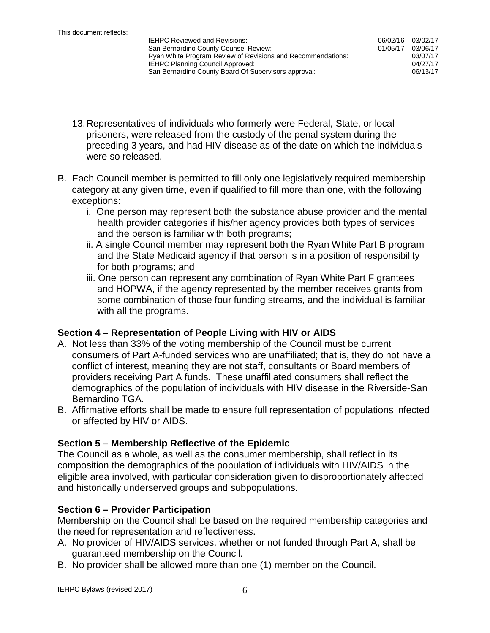- 13.Representatives of individuals who formerly were Federal, State, or local prisoners, were released from the custody of the penal system during the preceding 3 years, and had HIV disease as of the date on which the individuals were so released.
- B. Each Council member is permitted to fill only one legislatively required membership category at any given time, even if qualified to fill more than one, with the following exceptions:
	- i. One person may represent both the substance abuse provider and the mental health provider categories if his/her agency provides both types of services and the person is familiar with both programs;
	- ii. A single Council member may represent both the Ryan White Part B program and the State Medicaid agency if that person is in a position of responsibility for both programs; and
	- iii. One person can represent any combination of Ryan White Part F grantees and HOPWA, if the agency represented by the member receives grants from some combination of those four funding streams, and the individual is familiar with all the programs.

#### **Section 4 – Representation of People Living with HIV or AIDS**

- A. Not less than 33% of the voting membership of the Council must be current consumers of Part A-funded services who are unaffiliated; that is, they do not have a conflict of interest, meaning they are not staff, consultants or Board members of providers receiving Part A funds. These unaffiliated consumers shall reflect the demographics of the population of individuals with HIV disease in the Riverside-San Bernardino TGA.
- B. Affirmative efforts shall be made to ensure full representation of populations infected or affected by HIV or AIDS.

#### **Section 5 – Membership Reflective of the Epidemic**

The Council as a whole, as well as the consumer membership, shall reflect in its composition the demographics of the population of individuals with HIV/AIDS in the eligible area involved, with particular consideration given to disproportionately affected and historically underserved groups and subpopulations.

#### **Section 6 – Provider Participation**

Membership on the Council shall be based on the required membership categories and the need for representation and reflectiveness.

- A. No provider of HIV/AIDS services, whether or not funded through Part A, shall be guaranteed membership on the Council.
- B. No provider shall be allowed more than one (1) member on the Council.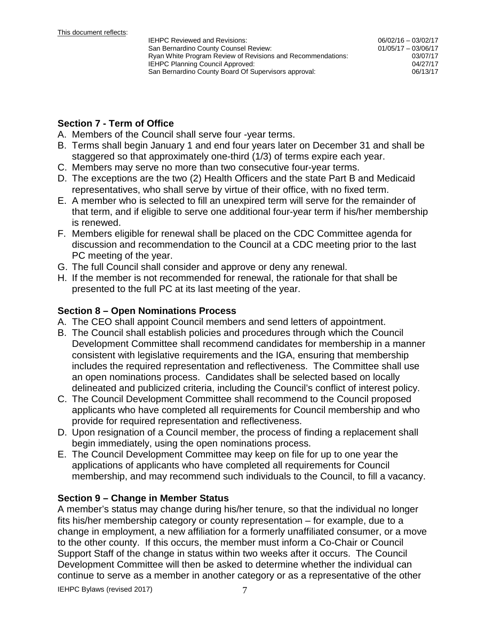06/02/16 – 03/02/17 01/05/17 – 03/06/17 03/07/17

### **Section 7 - Term of Office**

- A. Members of the Council shall serve four -year terms.
- B. Terms shall begin January 1 and end four years later on December 31 and shall be staggered so that approximately one-third (1/3) of terms expire each year.
- C. Members may serve no more than two consecutive four-year terms.
- D. The exceptions are the two (2) Health Officers and the state Part B and Medicaid representatives, who shall serve by virtue of their office, with no fixed term.
- E. A member who is selected to fill an unexpired term will serve for the remainder of that term, and if eligible to serve one additional four-year term if his/her membership is renewed.
- F. Members eligible for renewal shall be placed on the CDC Committee agenda for discussion and recommendation to the Council at a CDC meeting prior to the last PC meeting of the year.
- G. The full Council shall consider and approve or deny any renewal.
- H. If the member is not recommended for renewal, the rationale for that shall be presented to the full PC at its last meeting of the year.

#### **Section 8 – Open Nominations Process**

- A. The CEO shall appoint Council members and send letters of appointment.
- B. The Council shall establish policies and procedures through which the Council Development Committee shall recommend candidates for membership in a manner consistent with legislative requirements and the IGA, ensuring that membership includes the required representation and reflectiveness. The Committee shall use an open nominations process. Candidates shall be selected based on locally delineated and publicized criteria, including the Council's conflict of interest policy.
- C. The Council Development Committee shall recommend to the Council proposed applicants who have completed all requirements for Council membership and who provide for required representation and reflectiveness.
- D. Upon resignation of a Council member, the process of finding a replacement shall begin immediately, using the open nominations process.
- E. The Council Development Committee may keep on file for up to one year the applications of applicants who have completed all requirements for Council membership, and may recommend such individuals to the Council, to fill a vacancy.

#### **Section 9 – Change in Member Status**

A member's status may change during his/her tenure, so that the individual no longer fits his/her membership category or county representation – for example, due to a change in employment, a new affiliation for a formerly unaffiliated consumer, or a move to the other county. If this occurs, the member must inform a Co-Chair or Council Support Staff of the change in status within two weeks after it occurs. The Council Development Committee will then be asked to determine whether the individual can continue to serve as a member in another category or as a representative of the other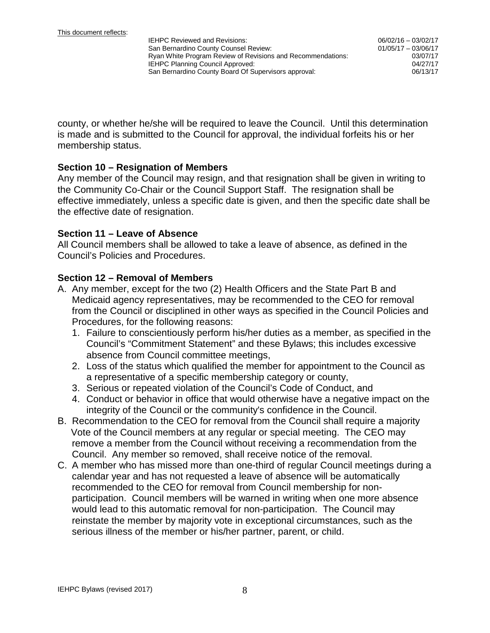county, or whether he/she will be required to leave the Council. Until this determination is made and is submitted to the Council for approval, the individual forfeits his or her membership status.

#### **Section 10 – Resignation of Members**

Any member of the Council may resign, and that resignation shall be given in writing to the Community Co-Chair or the Council Support Staff. The resignation shall be effective immediately, unless a specific date is given, and then the specific date shall be the effective date of resignation.

#### **Section 11 – Leave of Absence**

All Council members shall be allowed to take a leave of absence, as defined in the Council's Policies and Procedures.

#### **Section 12 – Removal of Members**

- A. Any member, except for the two (2) Health Officers and the State Part B and Medicaid agency representatives, may be recommended to the CEO for removal from the Council or disciplined in other ways as specified in the Council Policies and Procedures, for the following reasons:
	- 1. Failure to conscientiously perform his/her duties as a member, as specified in the Council's "Commitment Statement" and these Bylaws; this includes excessive absence from Council committee meetings,
	- 2. Loss of the status which qualified the member for appointment to the Council as a representative of a specific membership category or county,
	- 3. Serious or repeated violation of the Council's Code of Conduct, and
	- 4. Conduct or behavior in office that would otherwise have a negative impact on the integrity of the Council or the community's confidence in the Council.
- B. Recommendation to the CEO for removal from the Council shall require a majority Vote of the Council members at any regular or special meeting. The CEO may remove a member from the Council without receiving a recommendation from the Council. Any member so removed, shall receive notice of the removal.
- C. A member who has missed more than one-third of regular Council meetings during a calendar year and has not requested a leave of absence will be automatically recommended to the CEO for removal from Council membership for nonparticipation. Council members will be warned in writing when one more absence would lead to this automatic removal for non-participation. The Council may reinstate the member by majority vote in exceptional circumstances, such as the serious illness of the member or his/her partner, parent, or child.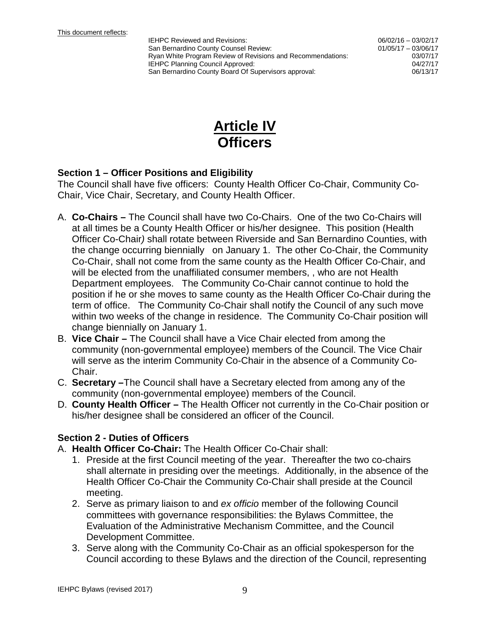06/02/16 – 03/02/17 01/05/17 – 03/06/17 03/07/17



#### **Section 1 – Officer Positions and Eligibility**

The Council shall have five officers: County Health Officer Co-Chair, Community Co-Chair, Vice Chair, Secretary, and County Health Officer.

- A. **Co-Chairs –** The Council shall have two Co-Chairs. One of the two Co-Chairs will at all times be a County Health Officer or his/her designee. This position (Health Officer Co-Chair*)* shall rotate between Riverside and San Bernardino Counties, with the change occurring biennially on January 1. The other Co-Chair, the Community Co-Chair, shall not come from the same county as the Health Officer Co-Chair, and will be elected from the unaffiliated consumer members, , who are not Health Department employees. The Community Co-Chair cannot continue to hold the position if he or she moves to same county as the Health Officer Co-Chair during the term of office. The Community Co-Chair shall notify the Council of any such move within two weeks of the change in residence. The Community Co-Chair position will change biennially on January 1.
- B. **Vice Chair –** The Council shall have a Vice Chair elected from among the community (non-governmental employee) members of the Council. The Vice Chair will serve as the interim Community Co-Chair in the absence of a Community Co-Chair.
- C. **Secretary –**The Council shall have a Secretary elected from among any of the community (non-governmental employee) members of the Council.
- D. **County Health Officer –** The Health Officer not currently in the Co-Chair position or his/her designee shall be considered an officer of the Council.

## **Section 2 - Duties of Officers**

- A. **Health Officer Co-Chair:** The Health Officer Co-Chair shall:
	- 1. Preside at the first Council meeting of the year. Thereafter the two co-chairs shall alternate in presiding over the meetings. Additionally, in the absence of the Health Officer Co-Chair the Community Co-Chair shall preside at the Council meeting.
	- 2. Serve as primary liaison to and *ex officio* member of the following Council committees with governance responsibilities: the Bylaws Committee, the Evaluation of the Administrative Mechanism Committee, and the Council Development Committee.
	- 3. Serve along with the Community Co-Chair as an official spokesperson for the Council according to these Bylaws and the direction of the Council, representing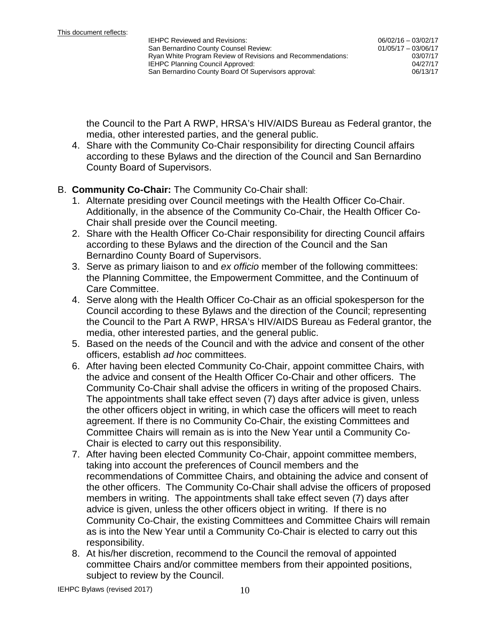the Council to the Part A RWP, HRSA's HIV/AIDS Bureau as Federal grantor, the media, other interested parties, and the general public.

4. Share with the Community Co-Chair responsibility for directing Council affairs according to these Bylaws and the direction of the Council and San Bernardino County Board of Supervisors.

#### B. **Community Co-Chair:** The Community Co-Chair shall:

- 1. Alternate presiding over Council meetings with the Health Officer Co-Chair. Additionally, in the absence of the Community Co-Chair, the Health Officer Co-Chair shall preside over the Council meeting.
- 2. Share with the Health Officer Co-Chair responsibility for directing Council affairs according to these Bylaws and the direction of the Council and the San Bernardino County Board of Supervisors.
- 3. Serve as primary liaison to and *ex officio* member of the following committees: the Planning Committee, the Empowerment Committee, and the Continuum of Care Committee.
- 4. Serve along with the Health Officer Co-Chair as an official spokesperson for the Council according to these Bylaws and the direction of the Council; representing the Council to the Part A RWP, HRSA's HIV/AIDS Bureau as Federal grantor, the media, other interested parties, and the general public.
- 5. Based on the needs of the Council and with the advice and consent of the other officers, establish *ad hoc* committees.
- 6. After having been elected Community Co-Chair, appoint committee Chairs, with the advice and consent of the Health Officer Co-Chair and other officers. The Community Co-Chair shall advise the officers in writing of the proposed Chairs. The appointments shall take effect seven (7) days after advice is given, unless the other officers object in writing, in which case the officers will meet to reach agreement. If there is no Community Co-Chair, the existing Committees and Committee Chairs will remain as is into the New Year until a Community Co-Chair is elected to carry out this responsibility.
- 7. After having been elected Community Co-Chair, appoint committee members, taking into account the preferences of Council members and the recommendations of Committee Chairs, and obtaining the advice and consent of the other officers. The Community Co-Chair shall advise the officers of proposed members in writing. The appointments shall take effect seven (7) days after advice is given, unless the other officers object in writing. If there is no Community Co-Chair, the existing Committees and Committee Chairs will remain as is into the New Year until a Community Co-Chair is elected to carry out this responsibility.
- 8. At his/her discretion, recommend to the Council the removal of appointed committee Chairs and/or committee members from their appointed positions, subject to review by the Council.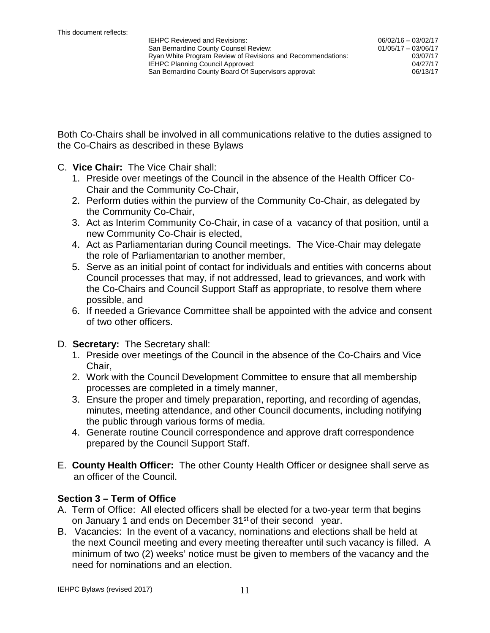Both Co-Chairs shall be involved in all communications relative to the duties assigned to the Co-Chairs as described in these Bylaws

- C. **Vice Chair:** The Vice Chair shall:
	- 1. Preside over meetings of the Council in the absence of the Health Officer Co-Chair and the Community Co-Chair,
	- 2. Perform duties within the purview of the Community Co-Chair, as delegated by the Community Co-Chair,
	- 3. Act as Interim Community Co-Chair, in case of a vacancy of that position, until a new Community Co-Chair is elected,
	- 4. Act as Parliamentarian during Council meetings. The Vice-Chair may delegate the role of Parliamentarian to another member,
	- 5. Serve as an initial point of contact for individuals and entities with concerns about Council processes that may, if not addressed, lead to grievances, and work with the Co-Chairs and Council Support Staff as appropriate, to resolve them where possible, and
	- 6. If needed a Grievance Committee shall be appointed with the advice and consent of two other officers.

#### D. **Secretary:** The Secretary shall:

- 1. Preside over meetings of the Council in the absence of the Co-Chairs and Vice Chair,
- 2. Work with the Council Development Committee to ensure that all membership processes are completed in a timely manner,
- 3. Ensure the proper and timely preparation, reporting, and recording of agendas, minutes, meeting attendance, and other Council documents, including notifying the public through various forms of media.
- 4. Generate routine Council correspondence and approve draft correspondence prepared by the Council Support Staff.
- E. **County Health Officer:** The other County Health Officer or designee shall serve as an officer of the Council.

## **Section 3 – Term of Office**

- A. Term of Office: All elected officers shall be elected for a two-year term that begins on January 1 and ends on December 31<sup>st</sup> of their second year.
- B. Vacancies: In the event of a vacancy, nominations and elections shall be held at the next Council meeting and every meeting thereafter until such vacancy is filled. A minimum of two (2) weeks' notice must be given to members of the vacancy and the need for nominations and an election.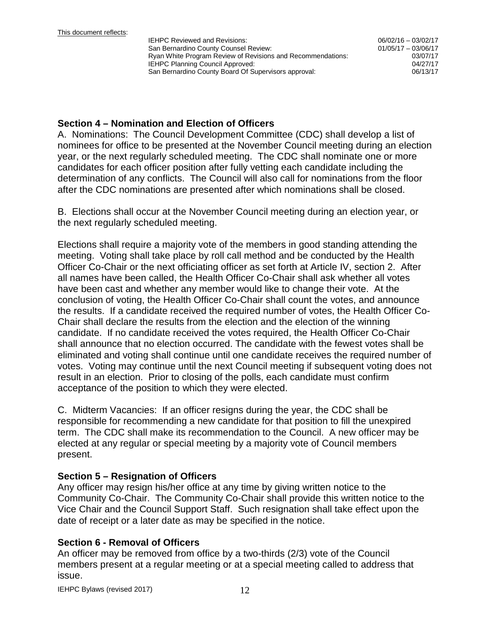06/02/16 – 03/02/17 01/05/17 – 03/06/17 03/07/17

#### **Section 4 – Nomination and Election of Officers**

A. Nominations: The Council Development Committee (CDC) shall develop a list of nominees for office to be presented at the November Council meeting during an election year, or the next regularly scheduled meeting. The CDC shall nominate one or more candidates for each officer position after fully vetting each candidate including the determination of any conflicts. The Council will also call for nominations from the floor after the CDC nominations are presented after which nominations shall be closed.

B. Elections shall occur at the November Council meeting during an election year, or the next regularly scheduled meeting.

Elections shall require a majority vote of the members in good standing attending the meeting. Voting shall take place by roll call method and be conducted by the Health Officer Co-Chair or the next officiating officer as set forth at Article IV, section 2. After all names have been called, the Health Officer Co-Chair shall ask whether all votes have been cast and whether any member would like to change their vote. At the conclusion of voting, the Health Officer Co-Chair shall count the votes, and announce the results. If a candidate received the required number of votes, the Health Officer Co-Chair shall declare the results from the election and the election of the winning candidate. If no candidate received the votes required, the Health Officer Co-Chair shall announce that no election occurred. The candidate with the fewest votes shall be eliminated and voting shall continue until one candidate receives the required number of votes. Voting may continue until the next Council meeting if subsequent voting does not result in an election. Prior to closing of the polls, each candidate must confirm acceptance of the position to which they were elected.

C. Midterm Vacancies: If an officer resigns during the year, the CDC shall be responsible for recommending a new candidate for that position to fill the unexpired term. The CDC shall make its recommendation to the Council. A new officer may be elected at any regular or special meeting by a majority vote of Council members present.

## **Section 5 – Resignation of Officers**

Any officer may resign his/her office at any time by giving written notice to the Community Co-Chair. The Community Co-Chair shall provide this written notice to the Vice Chair and the Council Support Staff. Such resignation shall take effect upon the date of receipt or a later date as may be specified in the notice.

## **Section 6 - Removal of Officers**

An officer may be removed from office by a two-thirds (2/3) vote of the Council members present at a regular meeting or at a special meeting called to address that issue.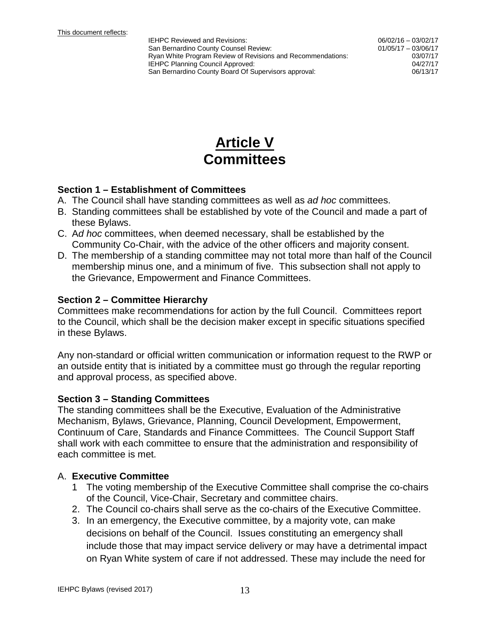06/02/16 – 03/02/17 01/05/17 – 03/06/17 03/07/17

## **Article V Committees**

#### **Section 1 – Establishment of Committees**

- A. The Council shall have standing committees as well as *ad hoc* committees.
- B. Standing committees shall be established by vote of the Council and made a part of these Bylaws.
- C. A*d hoc* committees, when deemed necessary, shall be established by the Community Co-Chair, with the advice of the other officers and majority consent.
- D. The membership of a standing committee may not total more than half of the Council membership minus one, and a minimum of five. This subsection shall not apply to the Grievance, Empowerment and Finance Committees.

#### **Section 2 – Committee Hierarchy**

Committees make recommendations for action by the full Council. Committees report to the Council, which shall be the decision maker except in specific situations specified in these Bylaws.

Any non-standard or official written communication or information request to the RWP or an outside entity that is initiated by a committee must go through the regular reporting and approval process, as specified above.

#### **Section 3 – Standing Committees**

The standing committees shall be the Executive, Evaluation of the Administrative Mechanism, Bylaws, Grievance, Planning, Council Development, Empowerment, Continuum of Care, Standards and Finance Committees. The Council Support Staff shall work with each committee to ensure that the administration and responsibility of each committee is met.

#### A. **Executive Committee**

- 1 The voting membership of the Executive Committee shall comprise the co-chairs of the Council, Vice-Chair, Secretary and committee chairs.
- 2. The Council co-chairs shall serve as the co-chairs of the Executive Committee.
- 3. In an emergency, the Executive committee, by a majority vote, can make decisions on behalf of the Council. Issues constituting an emergency shall include those that may impact service delivery or may have a detrimental impact on Ryan White system of care if not addressed. These may include the need for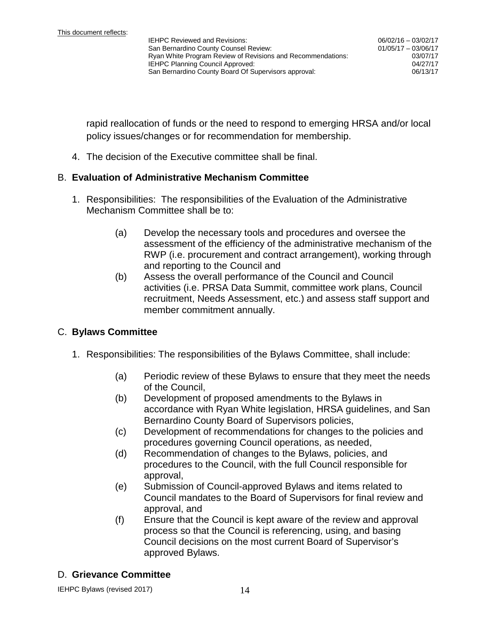rapid reallocation of funds or the need to respond to emerging HRSA and/or local policy issues/changes or for recommendation for membership.

4. The decision of the Executive committee shall be final.

#### B. **Evaluation of Administrative Mechanism Committee**

- 1. Responsibilities: The responsibilities of the Evaluation of the Administrative Mechanism Committee shall be to:
	- (a) Develop the necessary tools and procedures and oversee the assessment of the efficiency of the administrative mechanism of the RWP (i.e. procurement and contract arrangement), working through and reporting to the Council and
	- (b) Assess the overall performance of the Council and Council activities (i.e. PRSA Data Summit, committee work plans, Council recruitment, Needs Assessment, etc.) and assess staff support and member commitment annually.

## C. **Bylaws Committee**

- 1. Responsibilities: The responsibilities of the Bylaws Committee, shall include:
	- (a) Periodic review of these Bylaws to ensure that they meet the needs of the Council,
	- (b) Development of proposed amendments to the Bylaws in accordance with Ryan White legislation, HRSA guidelines, and San Bernardino County Board of Supervisors policies,
	- (c) Development of recommendations for changes to the policies and procedures governing Council operations, as needed,
	- (d) Recommendation of changes to the Bylaws, policies, and procedures to the Council, with the full Council responsible for approval,
	- (e) Submission of Council-approved Bylaws and items related to Council mandates to the Board of Supervisors for final review and approval, and
	- (f) Ensure that the Council is kept aware of the review and approval process so that the Council is referencing, using, and basing Council decisions on the most current Board of Supervisor's approved Bylaws.

#### D. **Grievance Committee**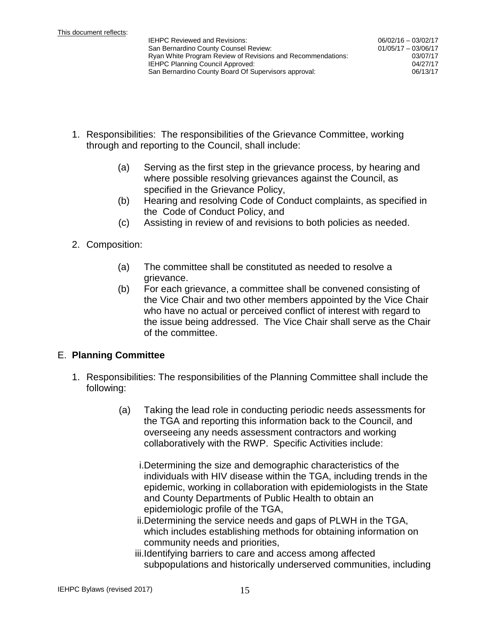- 1. Responsibilities: The responsibilities of the Grievance Committee, working through and reporting to the Council, shall include:
	- (a) Serving as the first step in the grievance process, by hearing and where possible resolving grievances against the Council, as specified in the Grievance Policy,
	- (b) Hearing and resolving Code of Conduct complaints, as specified in the Code of Conduct Policy, and
	- (c) Assisting in review of and revisions to both policies as needed.
- 2. Composition:
	- (a) The committee shall be constituted as needed to resolve a grievance.
	- (b) For each grievance, a committee shall be convened consisting of the Vice Chair and two other members appointed by the Vice Chair who have no actual or perceived conflict of interest with regard to the issue being addressed. The Vice Chair shall serve as the Chair of the committee.

## E. **Planning Committee**

- 1. Responsibilities: The responsibilities of the Planning Committee shall include the following:
	- (a) Taking the lead role in conducting periodic needs assessments for the TGA and reporting this information back to the Council, and overseeing any needs assessment contractors and working collaboratively with the RWP. Specific Activities include:
		- i.Determining the size and demographic characteristics of the individuals with HIV disease within the TGA, including trends in the epidemic, working in collaboration with epidemiologists in the State and County Departments of Public Health to obtain an epidemiologic profile of the TGA,
		- ii.Determining the service needs and gaps of PLWH in the TGA, which includes establishing methods for obtaining information on community needs and priorities,
		- iii.Identifying barriers to care and access among affected subpopulations and historically underserved communities, including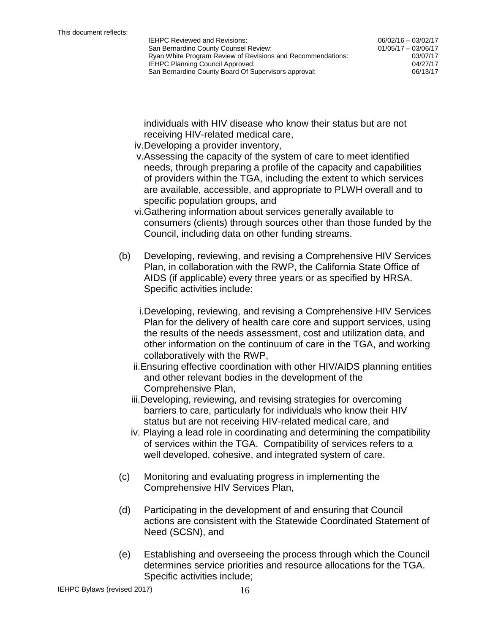06/02/16 – 03/02/17 01/05/17 – 03/06/17 03/07/17

individuals with HIV disease who know their status but are not receiving HIV-related medical care,

- iv.Developing a provider inventory,
- v.Assessing the capacity of the system of care to meet identified needs, through preparing a profile of the capacity and capabilities of providers within the TGA, including the extent to which services are available, accessible, and appropriate to PLWH overall and to specific population groups, and
- vi.Gathering information about services generally available to consumers (clients) through sources other than those funded by the Council, including data on other funding streams.
- (b) Developing, reviewing, and revising a Comprehensive HIV Services Plan, in collaboration with the RWP, the California State Office of AIDS (if applicable) every three years or as specified by HRSA. Specific activities include:
	- i.Developing, reviewing, and revising a Comprehensive HIV Services Plan for the delivery of health care core and support services, using the results of the needs assessment, cost and utilization data, and other information on the continuum of care in the TGA, and working collaboratively with the RWP,
	- ii.Ensuring effective coordination with other HIV/AIDS planning entities and other relevant bodies in the development of the Comprehensive Plan,
	- iii.Developing, reviewing, and revising strategies for overcoming barriers to care, particularly for individuals who know their HIV status but are not receiving HIV-related medical care, and
	- iv. Playing a lead role in coordinating and determining the compatibility of services within the TGA. Compatibility of services refers to a well developed, cohesive, and integrated system of care.
- (c) Monitoring and evaluating progress in implementing the Comprehensive HIV Services Plan,
- (d) Participating in the development of and ensuring that Council actions are consistent with the Statewide Coordinated Statement of Need (SCSN), and
- (e) Establishing and overseeing the process through which the Council determines service priorities and resource allocations for the TGA. Specific activities include;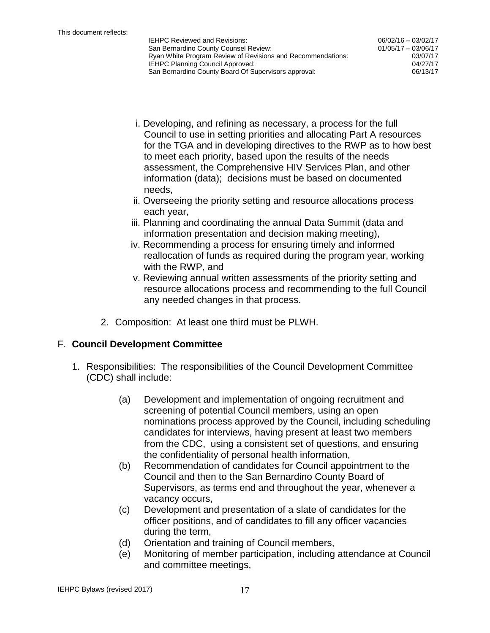06/02/16 – 03/02/17 01/05/17 – 03/06/17 03/07/17

- i. Developing, and refining as necessary, a process for the full Council to use in setting priorities and allocating Part A resources for the TGA and in developing directives to the RWP as to how best to meet each priority, based upon the results of the needs assessment, the Comprehensive HIV Services Plan, and other information (data); decisions must be based on documented needs,
- ii. Overseeing the priority setting and resource allocations process each year,
- iii. Planning and coordinating the annual Data Summit (data and information presentation and decision making meeting),
- iv. Recommending a process for ensuring timely and informed reallocation of funds as required during the program year, working with the RWP, and
- v. Reviewing annual written assessments of the priority setting and resource allocations process and recommending to the full Council any needed changes in that process.
- 2. Composition: At least one third must be PLWH.

## F. **Council Development Committee**

- 1. Responsibilities: The responsibilities of the Council Development Committee (CDC) shall include:
	- (a) Development and implementation of ongoing recruitment and screening of potential Council members, using an open nominations process approved by the Council, including scheduling candidates for interviews, having present at least two members from the CDC, using a consistent set of questions, and ensuring the confidentiality of personal health information,
	- (b) Recommendation of candidates for Council appointment to the Council and then to the San Bernardino County Board of Supervisors, as terms end and throughout the year, whenever a vacancy occurs,
	- (c) Development and presentation of a slate of candidates for the officer positions, and of candidates to fill any officer vacancies during the term,
	- (d) Orientation and training of Council members,
	- (e) Monitoring of member participation, including attendance at Council and committee meetings,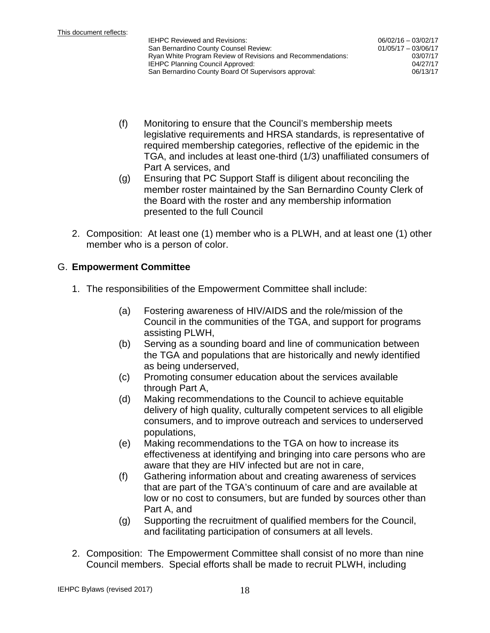- (f) Monitoring to ensure that the Council's membership meets legislative requirements and HRSA standards, is representative of required membership categories, reflective of the epidemic in the TGA, and includes at least one-third (1/3) unaffiliated consumers of Part A services, and
- (g) Ensuring that PC Support Staff is diligent about reconciling the member roster maintained by the San Bernardino County Clerk of the Board with the roster and any membership information presented to the full Council
- 2. Composition: At least one (1) member who is a PLWH, and at least one (1) other member who is a person of color.

## G. **Empowerment Committee**

- 1. The responsibilities of the Empowerment Committee shall include:
	- (a) Fostering awareness of HIV/AIDS and the role/mission of the Council in the communities of the TGA, and support for programs assisting PLWH,
	- (b) Serving as a sounding board and line of communication between the TGA and populations that are historically and newly identified as being underserved,
	- (c) Promoting consumer education about the services available through Part A,
	- (d) Making recommendations to the Council to achieve equitable delivery of high quality, culturally competent services to all eligible consumers, and to improve outreach and services to underserved populations,
	- (e) Making recommendations to the TGA on how to increase its effectiveness at identifying and bringing into care persons who are aware that they are HIV infected but are not in care,
	- (f) Gathering information about and creating awareness of services that are part of the TGA's continuum of care and are available at low or no cost to consumers, but are funded by sources other than Part A, and
	- (g) Supporting the recruitment of qualified members for the Council, and facilitating participation of consumers at all levels.
- 2. Composition: The Empowerment Committee shall consist of no more than nine Council members. Special efforts shall be made to recruit PLWH, including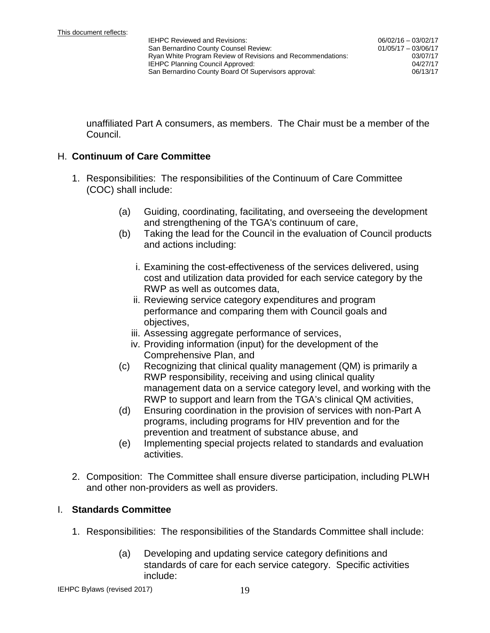unaffiliated Part A consumers, as members. The Chair must be a member of the Council.

#### H. **Continuum of Care Committee**

- 1. Responsibilities: The responsibilities of the Continuum of Care Committee (COC) shall include:
	- (a) Guiding, coordinating, facilitating, and overseeing the development and strengthening of the TGA's continuum of care,
	- (b) Taking the lead for the Council in the evaluation of Council products and actions including:
		- i. Examining the cost-effectiveness of the services delivered, using cost and utilization data provided for each service category by the RWP as well as outcomes data,
		- ii. Reviewing service category expenditures and program performance and comparing them with Council goals and objectives,
		- iii. Assessing aggregate performance of services,
		- iv. Providing information (input) for the development of the Comprehensive Plan, and
	- (c) Recognizing that clinical quality management (QM) is primarily a RWP responsibility, receiving and using clinical quality management data on a service category level, and working with the RWP to support and learn from the TGA's clinical QM activities,
	- (d) Ensuring coordination in the provision of services with non-Part A programs, including programs for HIV prevention and for the prevention and treatment of substance abuse, and
	- (e) Implementing special projects related to standards and evaluation activities.
- 2. Composition: The Committee shall ensure diverse participation, including PLWH and other non-providers as well as providers.

#### I. **Standards Committee**

- 1. Responsibilities: The responsibilities of the Standards Committee shall include:
	- (a) Developing and updating service category definitions and standards of care for each service category. Specific activities include: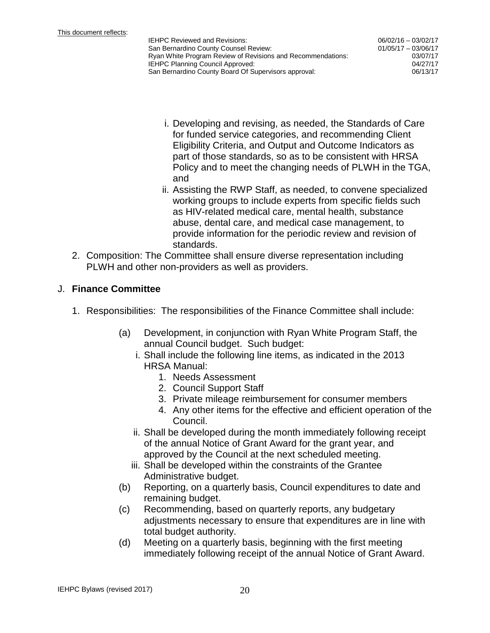06/02/16 – 03/02/17 01/05/17 – 03/06/17 03/07/17

- i. Developing and revising, as needed, the Standards of Care for funded service categories, and recommending Client Eligibility Criteria, and Output and Outcome Indicators as part of those standards, so as to be consistent with HRSA Policy and to meet the changing needs of PLWH in the TGA, and
- ii. Assisting the RWP Staff, as needed, to convene specialized working groups to include experts from specific fields such as HIV-related medical care, mental health, substance abuse, dental care, and medical case management, to provide information for the periodic review and revision of standards.
- 2. Composition: The Committee shall ensure diverse representation including PLWH and other non-providers as well as providers.

#### J. **Finance Committee**

- 1. Responsibilities: The responsibilities of the Finance Committee shall include:
	- (a) Development, in conjunction with Ryan White Program Staff, the annual Council budget. Such budget:
		- i. Shall include the following line items, as indicated in the 2013 HRSA Manual:
			- 1. Needs Assessment
			- 2. Council Support Staff
			- 3. Private mileage reimbursement for consumer members
			- 4. Any other items for the effective and efficient operation of the Council.
		- ii. Shall be developed during the month immediately following receipt of the annual Notice of Grant Award for the grant year, and approved by the Council at the next scheduled meeting.
		- iii. Shall be developed within the constraints of the Grantee Administrative budget.
	- (b) Reporting, on a quarterly basis, Council expenditures to date and remaining budget.
	- (c) Recommending, based on quarterly reports, any budgetary adjustments necessary to ensure that expenditures are in line with total budget authority.
	- (d) Meeting on a quarterly basis, beginning with the first meeting immediately following receipt of the annual Notice of Grant Award.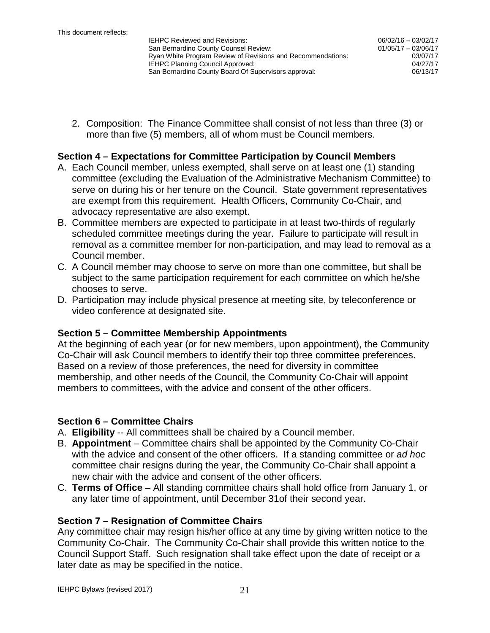06/02/16 – 03/02/17 01/05/17 – 03/06/17 03/07/17

2. Composition: The Finance Committee shall consist of not less than three (3) or more than five (5) members, all of whom must be Council members.

#### **Section 4 – Expectations for Committee Participation by Council Members**

- A. Each Council member, unless exempted, shall serve on at least one (1) standing committee (excluding the Evaluation of the Administrative Mechanism Committee) to serve on during his or her tenure on the Council. State government representatives are exempt from this requirement. Health Officers, Community Co-Chair, and advocacy representative are also exempt.
- B. Committee members are expected to participate in at least two-thirds of regularly scheduled committee meetings during the year. Failure to participate will result in removal as a committee member for non-participation, and may lead to removal as a Council member.
- C. A Council member may choose to serve on more than one committee, but shall be subject to the same participation requirement for each committee on which he/she chooses to serve.
- D. Participation may include physical presence at meeting site, by teleconference or video conference at designated site.

#### **Section 5 – Committee Membership Appointments**

At the beginning of each year (or for new members, upon appointment), the Community Co-Chair will ask Council members to identify their top three committee preferences. Based on a review of those preferences, the need for diversity in committee membership, and other needs of the Council, the Community Co-Chair will appoint members to committees, with the advice and consent of the other officers.

#### **Section 6 – Committee Chairs**

- A. **Eligibility** -- All committees shall be chaired by a Council member.
- B. **Appointment** Committee chairs shall be appointed by the Community Co-Chair with the advice and consent of the other officers. If a standing committee or *ad hoc* committee chair resigns during the year, the Community Co-Chair shall appoint a new chair with the advice and consent of the other officers.
- C. **Terms of Office** All standing committee chairs shall hold office from January 1, or any later time of appointment, until December 31of their second year.

#### **Section 7 – Resignation of Committee Chairs**

Any committee chair may resign his/her office at any time by giving written notice to the Community Co-Chair. The Community Co-Chair shall provide this written notice to the Council Support Staff. Such resignation shall take effect upon the date of receipt or a later date as may be specified in the notice.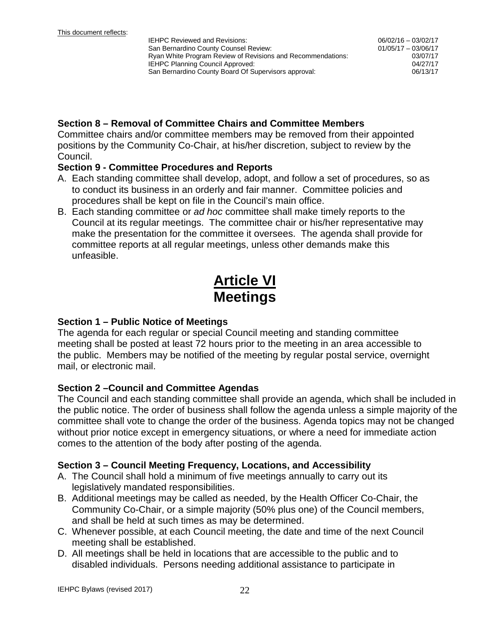06/02/16 – 03/02/17 01/05/17 – 03/06/17 03/07/17

#### **Section 8 – Removal of Committee Chairs and Committee Members**

Committee chairs and/or committee members may be removed from their appointed positions by the Community Co-Chair, at his/her discretion, subject to review by the Council.

#### **Section 9 - Committee Procedures and Reports**

- A. Each standing committee shall develop, adopt, and follow a set of procedures, so as to conduct its business in an orderly and fair manner. Committee policies and procedures shall be kept on file in the Council's main office.
- B. Each standing committee or *ad hoc* committee shall make timely reports to the Council at its regular meetings. The committee chair or his/her representative may make the presentation for the committee it oversees. The agenda shall provide for committee reports at all regular meetings, unless other demands make this unfeasible.

## **Article VI Meetings**

#### **Section 1 – Public Notice of Meetings**

The agenda for each regular or special Council meeting and standing committee meeting shall be posted at least 72 hours prior to the meeting in an area accessible to the public. Members may be notified of the meeting by regular postal service, overnight mail, or electronic mail.

## **Section 2 –Council and Committee Agendas**

The Council and each standing committee shall provide an agenda, which shall be included in the public notice. The order of business shall follow the agenda unless a simple majority of the committee shall vote to change the order of the business. Agenda topics may not be changed without prior notice except in emergency situations, or where a need for immediate action comes to the attention of the body after posting of the agenda.

#### **Section 3 – Council Meeting Frequency, Locations, and Accessibility**

- A. The Council shall hold a minimum of five meetings annually to carry out its legislatively mandated responsibilities.
- B. Additional meetings may be called as needed, by the Health Officer Co-Chair, the Community Co-Chair, or a simple majority (50% plus one) of the Council members, and shall be held at such times as may be determined.
- C. Whenever possible, at each Council meeting, the date and time of the next Council meeting shall be established.
- D. All meetings shall be held in locations that are accessible to the public and to disabled individuals. Persons needing additional assistance to participate in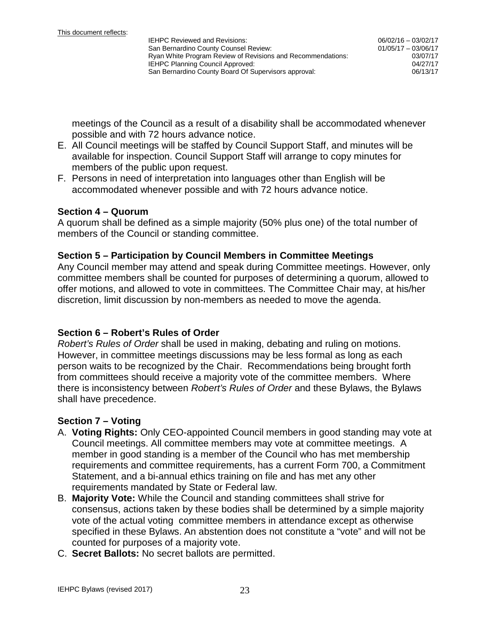meetings of the Council as a result of a disability shall be accommodated whenever possible and with 72 hours advance notice.

- E. All Council meetings will be staffed by Council Support Staff, and minutes will be available for inspection. Council Support Staff will arrange to copy minutes for members of the public upon request.
- F. Persons in need of interpretation into languages other than English will be accommodated whenever possible and with 72 hours advance notice.

#### **Section 4 – Quorum**

A quorum shall be defined as a simple majority (50% plus one) of the total number of members of the Council or standing committee.

#### **Section 5 – Participation by Council Members in Committee Meetings**

Any Council member may attend and speak during Committee meetings. However, only committee members shall be counted for purposes of determining a quorum, allowed to offer motions, and allowed to vote in committees. The Committee Chair may, at his/her discretion, limit discussion by non-members as needed to move the agenda.

#### **Section 6 – Robert's Rules of Order**

*Robert's Rules of Order* shall be used in making, debating and ruling on motions. However, in committee meetings discussions may be less formal as long as each person waits to be recognized by the Chair. Recommendations being brought forth from committees should receive a majority vote of the committee members. Where there is inconsistency between *Robert's Rules of Order* and these Bylaws, the Bylaws shall have precedence.

#### **Section 7 – Voting**

- A. **Voting Rights:** Only CEO-appointed Council members in good standing may vote at Council meetings. All committee members may vote at committee meetings. A member in good standing is a member of the Council who has met membership requirements and committee requirements, has a current Form 700, a Commitment Statement, and a bi-annual ethics training on file and has met any other requirements mandated by State or Federal law.
- B. **Majority Vote:** While the Council and standing committees shall strive for consensus, actions taken by these bodies shall be determined by a simple majority vote of the actual voting committee members in attendance except as otherwise specified in these Bylaws. An abstention does not constitute a "vote" and will not be counted for purposes of a majority vote.
- C. **Secret Ballots:** No secret ballots are permitted.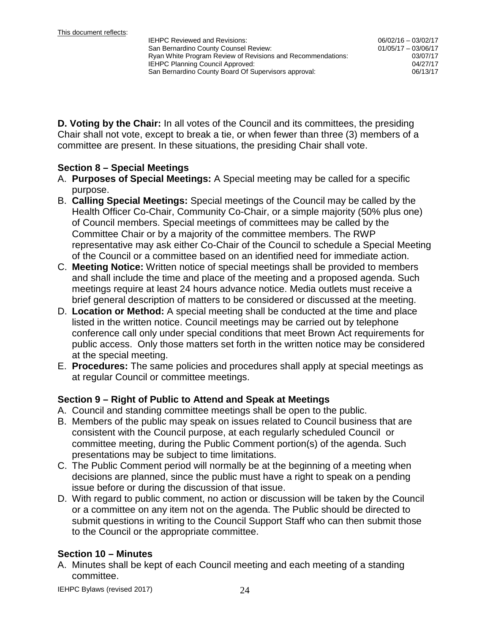06/02/16 – 03/02/17 01/05/17 – 03/06/17 03/07/17

**D. Voting by the Chair:** In all votes of the Council and its committees, the presiding Chair shall not vote, except to break a tie, or when fewer than three (3) members of a committee are present. In these situations, the presiding Chair shall vote.

#### **Section 8 – Special Meetings**

- A. **Purposes of Special Meetings:** A Special meeting may be called for a specific purpose.
- B. **Calling Special Meetings:** Special meetings of the Council may be called by the Health Officer Co-Chair, Community Co-Chair, or a simple majority (50% plus one) of Council members. Special meetings of committees may be called by the Committee Chair or by a majority of the committee members. The RWP representative may ask either Co-Chair of the Council to schedule a Special Meeting of the Council or a committee based on an identified need for immediate action.
- C. **Meeting Notice:** Written notice of special meetings shall be provided to members and shall include the time and place of the meeting and a proposed agenda. Such meetings require at least 24 hours advance notice. Media outlets must receive a brief general description of matters to be considered or discussed at the meeting.
- D. **Location or Method:** A special meeting shall be conducted at the time and place listed in the written notice. Council meetings may be carried out by telephone conference call only under special conditions that meet Brown Act requirements for public access. Only those matters set forth in the written notice may be considered at the special meeting.
- E. **Procedures:** The same policies and procedures shall apply at special meetings as at regular Council or committee meetings.

## **Section 9 – Right of Public to Attend and Speak at Meetings**

- A. Council and standing committee meetings shall be open to the public.
- B. Members of the public may speak on issues related to Council business that are consistent with the Council purpose, at each regularly scheduled Council or committee meeting, during the Public Comment portion(s) of the agenda. Such presentations may be subject to time limitations.
- C. The Public Comment period will normally be at the beginning of a meeting when decisions are planned, since the public must have a right to speak on a pending issue before or during the discussion of that issue.
- D. With regard to public comment, no action or discussion will be taken by the Council or a committee on any item not on the agenda. The Public should be directed to submit questions in writing to the Council Support Staff who can then submit those to the Council or the appropriate committee.

## **Section 10 – Minutes**

A. Minutes shall be kept of each Council meeting and each meeting of a standing committee.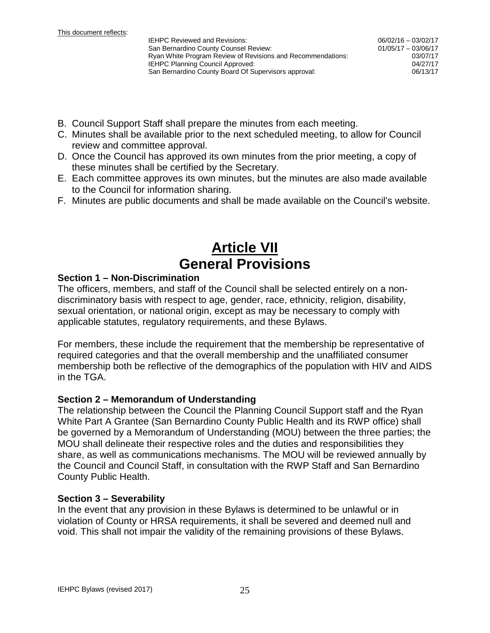- B. Council Support Staff shall prepare the minutes from each meeting.
- C. Minutes shall be available prior to the next scheduled meeting, to allow for Council review and committee approval.
- D. Once the Council has approved its own minutes from the prior meeting, a copy of these minutes shall be certified by the Secretary.
- E. Each committee approves its own minutes, but the minutes are also made available to the Council for information sharing.
- F. Minutes are public documents and shall be made available on the Council's website.

## **Article VII General Provisions**

#### **Section 1 – Non-Discrimination**

The officers, members, and staff of the Council shall be selected entirely on a nondiscriminatory basis with respect to age, gender, race, ethnicity, religion, disability, sexual orientation, or national origin, except as may be necessary to comply with applicable statutes, regulatory requirements, and these Bylaws.

For members, these include the requirement that the membership be representative of required categories and that the overall membership and the unaffiliated consumer membership both be reflective of the demographics of the population with HIV and AIDS in the TGA.

#### **Section 2 – Memorandum of Understanding**

The relationship between the Council the Planning Council Support staff and the Ryan White Part A Grantee (San Bernardino County Public Health and its RWP office) shall be governed by a Memorandum of Understanding (MOU) between the three parties; the MOU shall delineate their respective roles and the duties and responsibilities they share, as well as communications mechanisms. The MOU will be reviewed annually by the Council and Council Staff, in consultation with the RWP Staff and San Bernardino County Public Health.

#### **Section 3 – Severability**

In the event that any provision in these Bylaws is determined to be unlawful or in violation of County or HRSA requirements, it shall be severed and deemed null and void. This shall not impair the validity of the remaining provisions of these Bylaws.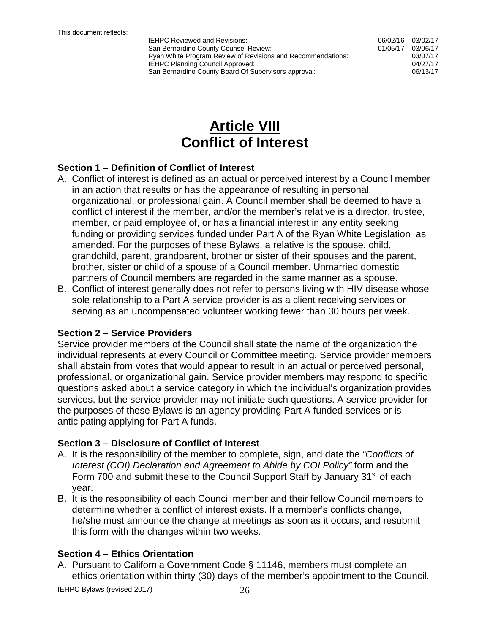06/02/16 – 03/02/17 01/05/17 – 03/06/17 03/07/17

## **Article VIII Conflict of Interest**

#### **Section 1 – Definition of Conflict of Interest**

- A. Conflict of interest is defined as an actual or perceived interest by a Council member in an action that results or has the appearance of resulting in personal, organizational, or professional gain. A Council member shall be deemed to have a conflict of interest if the member, and/or the member's relative is a director, trustee, member, or paid employee of, or has a financial interest in any entity seeking funding or providing services funded under Part A of the Ryan White Legislation as amended. For the purposes of these Bylaws, a relative is the spouse, child, grandchild, parent, grandparent, brother or sister of their spouses and the parent, brother, sister or child of a spouse of a Council member. Unmarried domestic partners of Council members are regarded in the same manner as a spouse.
- B. Conflict of interest generally does not refer to persons living with HIV disease whose sole relationship to a Part A service provider is as a client receiving services or serving as an uncompensated volunteer working fewer than 30 hours per week.

#### **Section 2 – Service Providers**

Service provider members of the Council shall state the name of the organization the individual represents at every Council or Committee meeting. Service provider members shall abstain from votes that would appear to result in an actual or perceived personal, professional, or organizational gain. Service provider members may respond to specific questions asked about a service category in which the individual's organization provides services, but the service provider may not initiate such questions. A service provider for the purposes of these Bylaws is an agency providing Part A funded services or is anticipating applying for Part A funds.

#### **Section 3 – Disclosure of Conflict of Interest**

- A. It is the responsibility of the member to complete, sign, and date the *"Conflicts of Interest (COI) Declaration and Agreement to Abide by COI Policy"* form and the Form 700 and submit these to the Council Support Staff by January 31<sup>st</sup> of each year.
- B. It is the responsibility of each Council member and their fellow Council members to determine whether a conflict of interest exists. If a member's conflicts change, he/she must announce the change at meetings as soon as it occurs, and resubmit this form with the changes within two weeks.

#### **Section 4 – Ethics Orientation**

A. Pursuant to California Government Code § 11146, members must complete an ethics orientation within thirty (30) days of the member's appointment to the Council.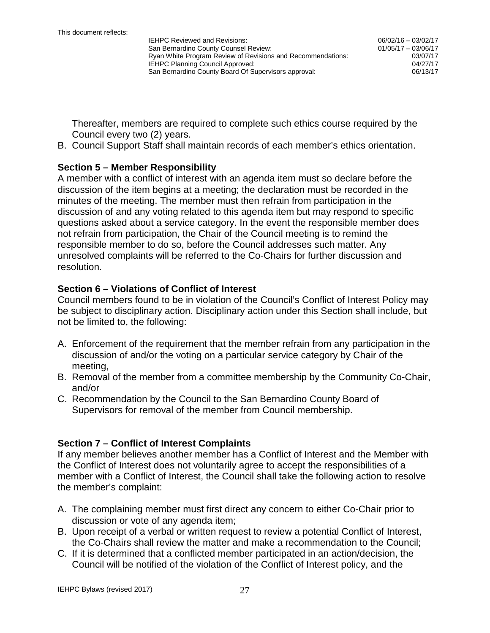06/02/16 – 03/02/17 01/05/17 – 03/06/17 03/07/17

Thereafter, members are required to complete such ethics course required by the Council every two (2) years.

B. Council Support Staff shall maintain records of each member's ethics orientation.

#### **Section 5 – Member Responsibility**

A member with a conflict of interest with an agenda item must so declare before the discussion of the item begins at a meeting; the declaration must be recorded in the minutes of the meeting. The member must then refrain from participation in the discussion of and any voting related to this agenda item but may respond to specific questions asked about a service category. In the event the responsible member does not refrain from participation, the Chair of the Council meeting is to remind the responsible member to do so, before the Council addresses such matter. Any unresolved complaints will be referred to the Co-Chairs for further discussion and resolution.

#### **Section 6 – Violations of Conflict of Interest**

Council members found to be in violation of the Council's Conflict of Interest Policy may be subject to disciplinary action. Disciplinary action under this Section shall include, but not be limited to, the following:

- A. Enforcement of the requirement that the member refrain from any participation in the discussion of and/or the voting on a particular service category by Chair of the meeting,
- B. Removal of the member from a committee membership by the Community Co-Chair, and/or
- C. Recommendation by the Council to the San Bernardino County Board of Supervisors for removal of the member from Council membership.

#### **Section 7 – Conflict of Interest Complaints**

If any member believes another member has a Conflict of Interest and the Member with the Conflict of Interest does not voluntarily agree to accept the responsibilities of a member with a Conflict of Interest, the Council shall take the following action to resolve the member's complaint:

- A. The complaining member must first direct any concern to either Co-Chair prior to discussion or vote of any agenda item;
- B. Upon receipt of a verbal or written request to review a potential Conflict of Interest, the Co-Chairs shall review the matter and make a recommendation to the Council;
- C. If it is determined that a conflicted member participated in an action/decision, the Council will be notified of the violation of the Conflict of Interest policy, and the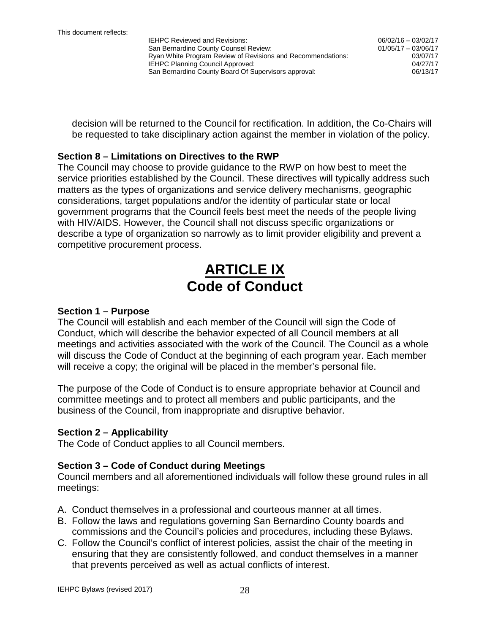06/02/16 – 03/02/17 01/05/17 – 03/06/17 03/07/17

decision will be returned to the Council for rectification. In addition, the Co-Chairs will be requested to take disciplinary action against the member in violation of the policy.

#### **Section 8 – Limitations on Directives to the RWP**

The Council may choose to provide guidance to the RWP on how best to meet the service priorities established by the Council. These directives will typically address such matters as the types of organizations and service delivery mechanisms, geographic considerations, target populations and/or the identity of particular state or local government programs that the Council feels best meet the needs of the people living with HIV/AIDS. However, the Council shall not discuss specific organizations or describe a type of organization so narrowly as to limit provider eligibility and prevent a competitive procurement process.

## **ARTICLE IX Code of Conduct**

#### **Section 1 – Purpose**

The Council will establish and each member of the Council will sign the Code of Conduct, which will describe the behavior expected of all Council members at all meetings and activities associated with the work of the Council. The Council as a whole will discuss the Code of Conduct at the beginning of each program year. Each member will receive a copy; the original will be placed in the member's personal file.

The purpose of the Code of Conduct is to ensure appropriate behavior at Council and committee meetings and to protect all members and public participants, and the business of the Council, from inappropriate and disruptive behavior.

#### **Section 2 – Applicability**

The Code of Conduct applies to all Council members.

#### **Section 3 – Code of Conduct during Meetings**

Council members and all aforementioned individuals will follow these ground rules in all meetings:

- A. Conduct themselves in a professional and courteous manner at all times.
- B. Follow the laws and regulations governing San Bernardino County boards and commissions and the Council's policies and procedures, including these Bylaws.
- C. Follow the Council's conflict of interest policies, assist the chair of the meeting in ensuring that they are consistently followed, and conduct themselves in a manner that prevents perceived as well as actual conflicts of interest.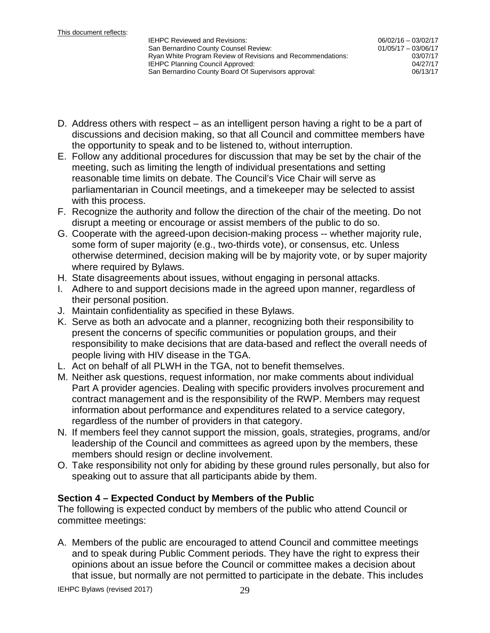- D. Address others with respect as an intelligent person having a right to be a part of discussions and decision making, so that all Council and committee members have the opportunity to speak and to be listened to, without interruption.
- E. Follow any additional procedures for discussion that may be set by the chair of the meeting, such as limiting the length of individual presentations and setting reasonable time limits on debate. The Council's Vice Chair will serve as parliamentarian in Council meetings, and a timekeeper may be selected to assist with this process.
- F. Recognize the authority and follow the direction of the chair of the meeting. Do not disrupt a meeting or encourage or assist members of the public to do so.
- G. Cooperate with the agreed-upon decision-making process -- whether majority rule, some form of super majority (e.g., two-thirds vote), or consensus, etc. Unless otherwise determined, decision making will be by majority vote, or by super majority where required by Bylaws.
- H. State disagreements about issues, without engaging in personal attacks.
- I. Adhere to and support decisions made in the agreed upon manner, regardless of their personal position.
- J. Maintain confidentiality as specified in these Bylaws.
- K. Serve as both an advocate and a planner, recognizing both their responsibility to present the concerns of specific communities or population groups, and their responsibility to make decisions that are data-based and reflect the overall needs of people living with HIV disease in the TGA.
- L. Act on behalf of all PLWH in the TGA, not to benefit themselves.
- M. Neither ask questions, request information, nor make comments about individual Part A provider agencies. Dealing with specific providers involves procurement and contract management and is the responsibility of the RWP. Members may request information about performance and expenditures related to a service category, regardless of the number of providers in that category.
- N. If members feel they cannot support the mission, goals, strategies, programs, and/or leadership of the Council and committees as agreed upon by the members, these members should resign or decline involvement.
- O. Take responsibility not only for abiding by these ground rules personally, but also for speaking out to assure that all participants abide by them.

#### **Section 4 – Expected Conduct by Members of the Public**

The following is expected conduct by members of the public who attend Council or committee meetings:

A. Members of the public are encouraged to attend Council and committee meetings and to speak during Public Comment periods. They have the right to express their opinions about an issue before the Council or committee makes a decision about that issue, but normally are not permitted to participate in the debate. This includes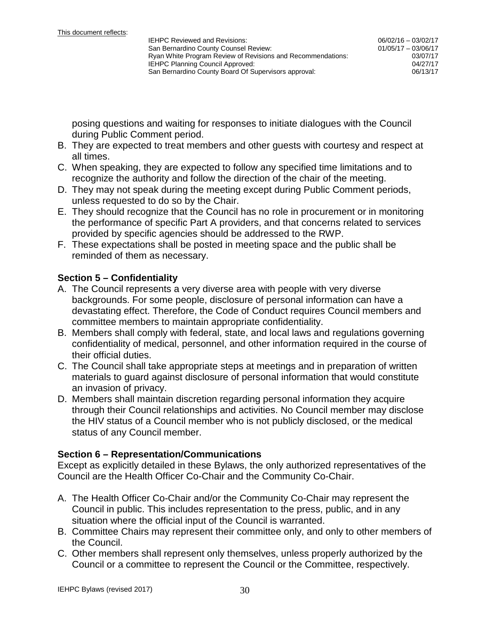posing questions and waiting for responses to initiate dialogues with the Council during Public Comment period.

- B. They are expected to treat members and other guests with courtesy and respect at all times.
- C. When speaking, they are expected to follow any specified time limitations and to recognize the authority and follow the direction of the chair of the meeting.
- D. They may not speak during the meeting except during Public Comment periods, unless requested to do so by the Chair.
- E. They should recognize that the Council has no role in procurement or in monitoring the performance of specific Part A providers, and that concerns related to services provided by specific agencies should be addressed to the RWP.
- F. These expectations shall be posted in meeting space and the public shall be reminded of them as necessary.

## **Section 5 – Confidentiality**

- A. The Council represents a very diverse area with people with very diverse backgrounds. For some people, disclosure of personal information can have a devastating effect. Therefore, the Code of Conduct requires Council members and committee members to maintain appropriate confidentiality.
- B. Members shall comply with federal, state, and local laws and regulations governing confidentiality of medical, personnel, and other information required in the course of their official duties.
- C. The Council shall take appropriate steps at meetings and in preparation of written materials to guard against disclosure of personal information that would constitute an invasion of privacy.
- D. Members shall maintain discretion regarding personal information they acquire through their Council relationships and activities. No Council member may disclose the HIV status of a Council member who is not publicly disclosed, or the medical status of any Council member.

## **Section 6 – Representation/Communications**

Except as explicitly detailed in these Bylaws, the only authorized representatives of the Council are the Health Officer Co-Chair and the Community Co-Chair.

- A. The Health Officer Co-Chair and/or the Community Co-Chair may represent the Council in public. This includes representation to the press, public, and in any situation where the official input of the Council is warranted.
- B. Committee Chairs may represent their committee only, and only to other members of the Council.
- C. Other members shall represent only themselves, unless properly authorized by the Council or a committee to represent the Council or the Committee, respectively.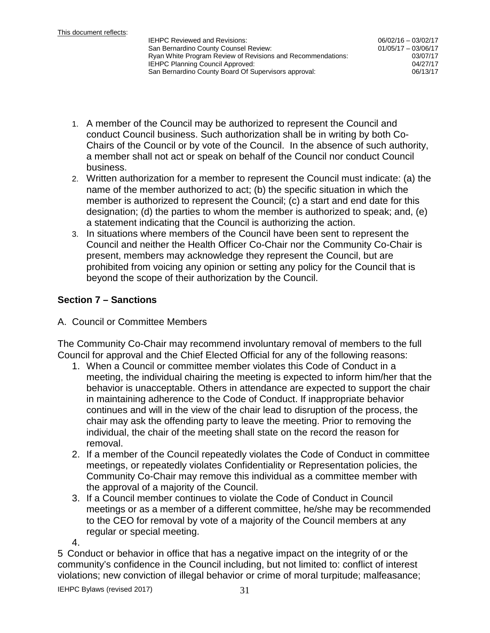06/02/16 – 03/02/17 01/05/17 – 03/06/17 03/07/17

- 1. A member of the Council may be authorized to represent the Council and conduct Council business. Such authorization shall be in writing by both Co-Chairs of the Council or by vote of the Council. In the absence of such authority, a member shall not act or speak on behalf of the Council nor conduct Council business.
- 2. Written authorization for a member to represent the Council must indicate: (a) the name of the member authorized to act; (b) the specific situation in which the member is authorized to represent the Council; (c) a start and end date for this designation; (d) the parties to whom the member is authorized to speak; and, (e) a statement indicating that the Council is authorizing the action.
- 3. In situations where members of the Council have been sent to represent the Council and neither the Health Officer Co-Chair nor the Community Co-Chair is present, members may acknowledge they represent the Council, but are prohibited from voicing any opinion or setting any policy for the Council that is beyond the scope of their authorization by the Council.

## **Section 7 – Sanctions**

A. Council or Committee Members

The Community Co-Chair may recommend involuntary removal of members to the full Council for approval and the Chief Elected Official for any of the following reasons:

- 1. When a Council or committee member violates this Code of Conduct in a meeting, the individual chairing the meeting is expected to inform him/her that the behavior is unacceptable. Others in attendance are expected to support the chair in maintaining adherence to the Code of Conduct. If inappropriate behavior continues and will in the view of the chair lead to disruption of the process, the chair may ask the offending party to leave the meeting. Prior to removing the individual, the chair of the meeting shall state on the record the reason for removal.
- 2. If a member of the Council repeatedly violates the Code of Conduct in committee meetings, or repeatedly violates Confidentiality or Representation policies, the Community Co-Chair may remove this individual as a committee member with the approval of a majority of the Council.
- 3. If a Council member continues to violate the Code of Conduct in Council meetings or as a member of a different committee, he/she may be recommended to the CEO for removal by vote of a majority of the Council members at any regular or special meeting.
- 4.

5 Conduct or behavior in office that has a negative impact on the integrity of or the community's confidence in the Council including, but not limited to: conflict of interest violations; new conviction of illegal behavior or crime of moral turpitude; malfeasance;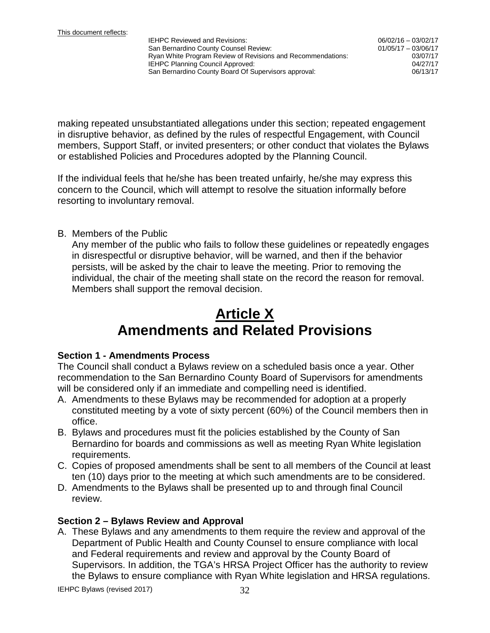06/02/16 – 03/02/17 01/05/17 – 03/06/17 03/07/17

making repeated unsubstantiated allegations under this section; repeated engagement in disruptive behavior, as defined by the rules of respectful Engagement, with Council members, Support Staff, or invited presenters; or other conduct that violates the Bylaws or established Policies and Procedures adopted by the Planning Council.

If the individual feels that he/she has been treated unfairly, he/she may express this concern to the Council, which will attempt to resolve the situation informally before resorting to involuntary removal.

#### B. Members of the Public

Any member of the public who fails to follow these guidelines or repeatedly engages in disrespectful or disruptive behavior, will be warned, and then if the behavior persists, will be asked by the chair to leave the meeting. Prior to removing the individual, the chair of the meeting shall state on the record the reason for removal. Members shall support the removal decision.

## **Article X Amendments and Related Provisions**

#### **Section 1 - Amendments Process**

The Council shall conduct a Bylaws review on a scheduled basis once a year. Other recommendation to the San Bernardino County Board of Supervisors for amendments will be considered only if an immediate and compelling need is identified.

- A. Amendments to these Bylaws may be recommended for adoption at a properly constituted meeting by a vote of sixty percent (60%) of the Council members then in office.
- B. Bylaws and procedures must fit the policies established by the County of San Bernardino for boards and commissions as well as meeting Ryan White legislation requirements.
- C. Copies of proposed amendments shall be sent to all members of the Council at least ten (10) days prior to the meeting at which such amendments are to be considered.
- D. Amendments to the Bylaws shall be presented up to and through final Council review.

## **Section 2 – Bylaws Review and Approval**

A. These Bylaws and any amendments to them require the review and approval of the Department of Public Health and County Counsel to ensure compliance with local and Federal requirements and review and approval by the County Board of Supervisors. In addition, the TGA's HRSA Project Officer has the authority to review the Bylaws to ensure compliance with Ryan White legislation and HRSA regulations.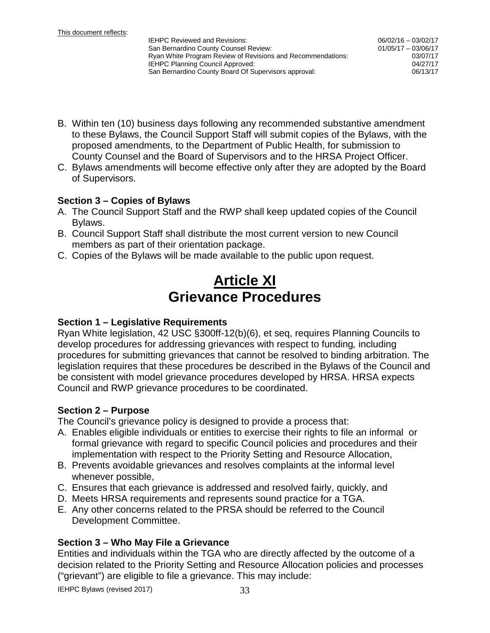- B. Within ten (10) business days following any recommended substantive amendment to these Bylaws, the Council Support Staff will submit copies of the Bylaws, with the proposed amendments, to the Department of Public Health, for submission to County Counsel and the Board of Supervisors and to the HRSA Project Officer.
- C. Bylaws amendments will become effective only after they are adopted by the Board of Supervisors.

#### **Section 3 – Copies of Bylaws**

- A. The Council Support Staff and the RWP shall keep updated copies of the Council Bylaws.
- B. Council Support Staff shall distribute the most current version to new Council members as part of their orientation package.
- C. Copies of the Bylaws will be made available to the public upon request.

## **Article XI Grievance Procedures**

#### **Section 1 – Legislative Requirements**

Ryan White legislation, 42 USC §300ff-12(b)(6), et seq, requires Planning Councils to develop procedures for addressing grievances with respect to funding*,* including procedures for submitting grievances that cannot be resolved to binding arbitration. The legislation requires that these procedures be described in the Bylaws of the Council and be consistent with model grievance procedures developed by HRSA. HRSA expects Council and RWP grievance procedures to be coordinated.

#### **Section 2 – Purpose**

The Council's grievance policy is designed to provide a process that:

- A. Enables eligible individuals or entities to exercise their rights to file an informal or formal grievance with regard to specific Council policies and procedures and their implementation with respect to the Priority Setting and Resource Allocation,
- B. Prevents avoidable grievances and resolves complaints at the informal level whenever possible,
- C. Ensures that each grievance is addressed and resolved fairly, quickly, and
- D. Meets HRSA requirements and represents sound practice for a TGA.
- E. Any other concerns related to the PRSA should be referred to the Council Development Committee.

## **Section 3 – Who May File a Grievance**

Entities and individuals within the TGA who are directly affected by the outcome of a decision related to the Priority Setting and Resource Allocation policies and processes ("grievant") are eligible to file a grievance. This may include: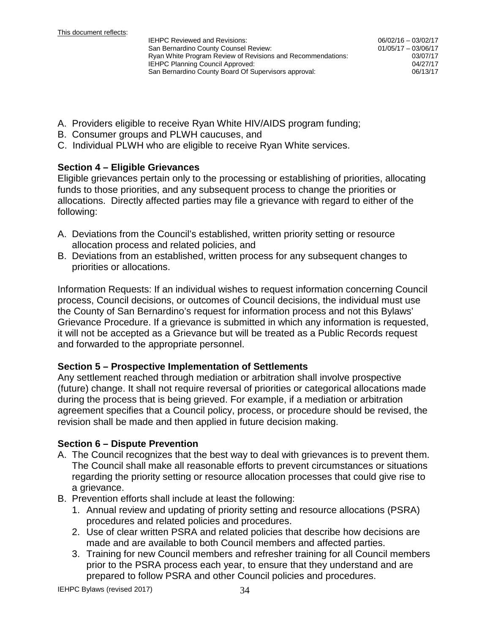- A. Providers eligible to receive Ryan White HIV/AIDS program funding;
- B. Consumer groups and PLWH caucuses, and
- C. Individual PLWH who are eligible to receive Ryan White services.

#### **Section 4 – Eligible Grievances**

Eligible grievances pertain only to the processing or establishing of priorities, allocating funds to those priorities, and any subsequent process to change the priorities or allocations. Directly affected parties may file a grievance with regard to either of the following:

- A. Deviations from the Council's established, written priority setting or resource allocation process and related policies, and
- B. Deviations from an established, written process for any subsequent changes to priorities or allocations.

Information Requests: If an individual wishes to request information concerning Council process, Council decisions, or outcomes of Council decisions, the individual must use the County of San Bernardino's request for information process and not this Bylaws' Grievance Procedure. If a grievance is submitted in which any information is requested, it will not be accepted as a Grievance but will be treated as a Public Records request and forwarded to the appropriate personnel.

#### **Section 5 – Prospective Implementation of Settlements**

Any settlement reached through mediation or arbitration shall involve prospective (future) change. It shall not require reversal of priorities or categorical allocations made during the process that is being grieved. For example, if a mediation or arbitration agreement specifies that a Council policy, process, or procedure should be revised, the revision shall be made and then applied in future decision making.

#### **Section 6 – Dispute Prevention**

- A. The Council recognizes that the best way to deal with grievances is to prevent them. The Council shall make all reasonable efforts to prevent circumstances or situations regarding the priority setting or resource allocation processes that could give rise to a grievance.
- B. Prevention efforts shall include at least the following:
	- 1. Annual review and updating of priority setting and resource allocations (PSRA) procedures and related policies and procedures.
	- 2. Use of clear written PSRA and related policies that describe how decisions are made and are available to both Council members and affected parties.
	- 3. Training for new Council members and refresher training for all Council members prior to the PSRA process each year, to ensure that they understand and are prepared to follow PSRA and other Council policies and procedures.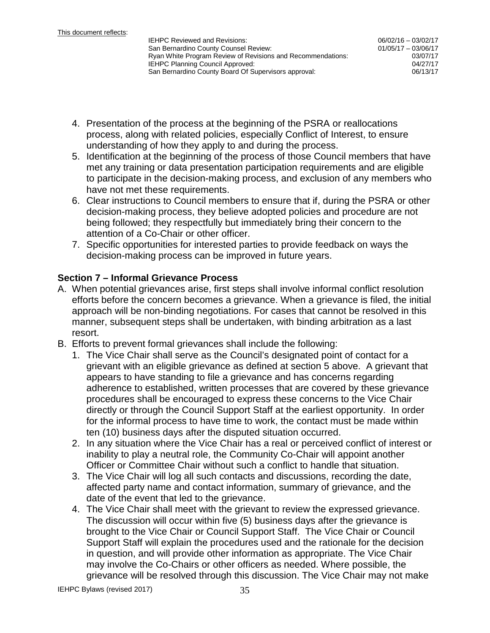06/02/16 – 03/02/17 01/05/17 – 03/06/17 03/07/17<br>04/27/17

- 4. Presentation of the process at the beginning of the PSRA or reallocations process, along with related policies, especially Conflict of Interest, to ensure understanding of how they apply to and during the process.
- 5. Identification at the beginning of the process of those Council members that have met any training or data presentation participation requirements and are eligible to participate in the decision-making process, and exclusion of any members who have not met these requirements.
- 6. Clear instructions to Council members to ensure that if, during the PSRA or other decision-making process, they believe adopted policies and procedure are not being followed; they respectfully but immediately bring their concern to the attention of a Co-Chair or other officer.
- 7. Specific opportunities for interested parties to provide feedback on ways the decision-making process can be improved in future years.

## **Section 7 – Informal Grievance Process**

- A. When potential grievances arise, first steps shall involve informal conflict resolution efforts before the concern becomes a grievance. When a grievance is filed, the initial approach will be non-binding negotiations. For cases that cannot be resolved in this manner, subsequent steps shall be undertaken, with binding arbitration as a last resort.
- B. Efforts to prevent formal grievances shall include the following:
	- 1. The Vice Chair shall serve as the Council's designated point of contact for a grievant with an eligible grievance as defined at section 5 above. A grievant that appears to have standing to file a grievance and has concerns regarding adherence to established, written processes that are covered by these grievance procedures shall be encouraged to express these concerns to the Vice Chair directly or through the Council Support Staff at the earliest opportunity. In order for the informal process to have time to work, the contact must be made within ten (10) business days after the disputed situation occurred.
	- 2. In any situation where the Vice Chair has a real or perceived conflict of interest or inability to play a neutral role, the Community Co-Chair will appoint another Officer or Committee Chair without such a conflict to handle that situation.
	- 3. The Vice Chair will log all such contacts and discussions, recording the date, affected party name and contact information, summary of grievance, and the date of the event that led to the grievance.
	- 4. The Vice Chair shall meet with the grievant to review the expressed grievance. The discussion will occur within five (5) business days after the grievance is brought to the Vice Chair or Council Support Staff. The Vice Chair or Council Support Staff will explain the procedures used and the rationale for the decision in question, and will provide other information as appropriate. The Vice Chair may involve the Co-Chairs or other officers as needed. Where possible, the grievance will be resolved through this discussion. The Vice Chair may not make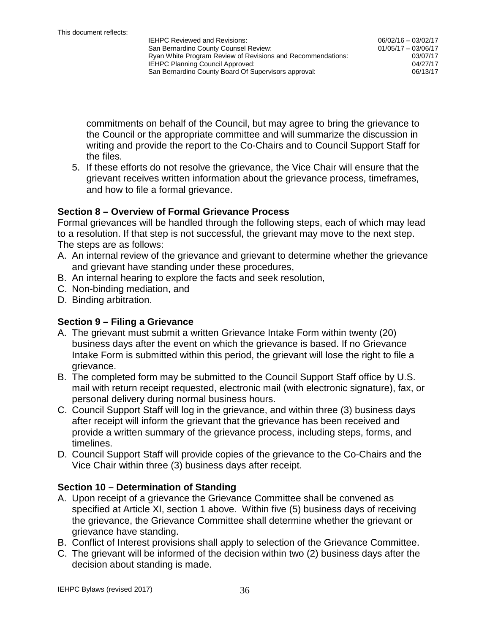commitments on behalf of the Council, but may agree to bring the grievance to the Council or the appropriate committee and will summarize the discussion in writing and provide the report to the Co-Chairs and to Council Support Staff for the files.

5. If these efforts do not resolve the grievance, the Vice Chair will ensure that the grievant receives written information about the grievance process, timeframes, and how to file a formal grievance.

#### **Section 8 – Overview of Formal Grievance Process**

Formal grievances will be handled through the following steps, each of which may lead to a resolution. If that step is not successful, the grievant may move to the next step. The steps are as follows:

- A. An internal review of the grievance and grievant to determine whether the grievance and grievant have standing under these procedures,
- B. An internal hearing to explore the facts and seek resolution,
- C. Non-binding mediation, and
- D. Binding arbitration.

#### **Section 9 – Filing a Grievance**

- A. The grievant must submit a written Grievance Intake Form within twenty (20) business days after the event on which the grievance is based. If no Grievance Intake Form is submitted within this period, the grievant will lose the right to file a grievance.
- B. The completed form may be submitted to the Council Support Staff office by U.S. mail with return receipt requested, electronic mail (with electronic signature), fax, or personal delivery during normal business hours.
- C. Council Support Staff will log in the grievance, and within three (3) business days after receipt will inform the grievant that the grievance has been received and provide a written summary of the grievance process, including steps, forms, and timelines.
- D. Council Support Staff will provide copies of the grievance to the Co-Chairs and the Vice Chair within three (3) business days after receipt.

#### **Section 10 – Determination of Standing**

- A. Upon receipt of a grievance the Grievance Committee shall be convened as specified at Article XI, section 1 above. Within five (5) business days of receiving the grievance, the Grievance Committee shall determine whether the grievant or grievance have standing.
- B. Conflict of Interest provisions shall apply to selection of the Grievance Committee.
- C. The grievant will be informed of the decision within two (2) business days after the decision about standing is made.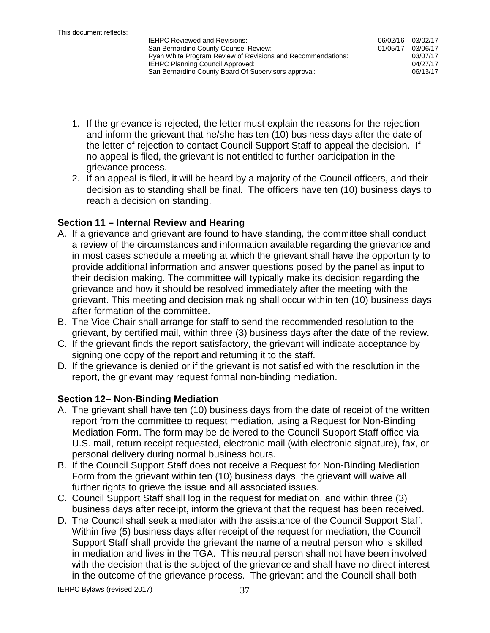06/02/16 – 03/02/17 01/05/17 – 03/06/17 03/07/17

- 1. If the grievance is rejected, the letter must explain the reasons for the rejection and inform the grievant that he/she has ten (10) business days after the date of the letter of rejection to contact Council Support Staff to appeal the decision. If no appeal is filed, the grievant is not entitled to further participation in the grievance process.
- 2. If an appeal is filed, it will be heard by a majority of the Council officers, and their decision as to standing shall be final. The officers have ten (10) business days to reach a decision on standing.

## **Section 11 – Internal Review and Hearing**

- A. If a grievance and grievant are found to have standing, the committee shall conduct a review of the circumstances and information available regarding the grievance and in most cases schedule a meeting at which the grievant shall have the opportunity to provide additional information and answer questions posed by the panel as input to their decision making. The committee will typically make its decision regarding the grievance and how it should be resolved immediately after the meeting with the grievant. This meeting and decision making shall occur within ten (10) business days after formation of the committee.
- B. The Vice Chair shall arrange for staff to send the recommended resolution to the grievant, by certified mail, within three (3) business days after the date of the review.
- C. If the grievant finds the report satisfactory, the grievant will indicate acceptance by signing one copy of the report and returning it to the staff.
- D. If the grievance is denied or if the grievant is not satisfied with the resolution in the report, the grievant may request formal non-binding mediation.

## **Section 12– Non-Binding Mediation**

- A. The grievant shall have ten (10) business days from the date of receipt of the written report from the committee to request mediation, using a Request for Non-Binding Mediation Form. The form may be delivered to the Council Support Staff office via U.S. mail, return receipt requested, electronic mail (with electronic signature), fax, or personal delivery during normal business hours.
- B. If the Council Support Staff does not receive a Request for Non-Binding Mediation Form from the grievant within ten (10) business days, the grievant will waive all further rights to grieve the issue and all associated issues.
- C. Council Support Staff shall log in the request for mediation, and within three (3) business days after receipt, inform the grievant that the request has been received.
- D. The Council shall seek a mediator with the assistance of the Council Support Staff. Within five (5) business days after receipt of the request for mediation, the Council Support Staff shall provide the grievant the name of a neutral person who is skilled in mediation and lives in the TGA. This neutral person shall not have been involved with the decision that is the subject of the grievance and shall have no direct interest in the outcome of the grievance process. The grievant and the Council shall both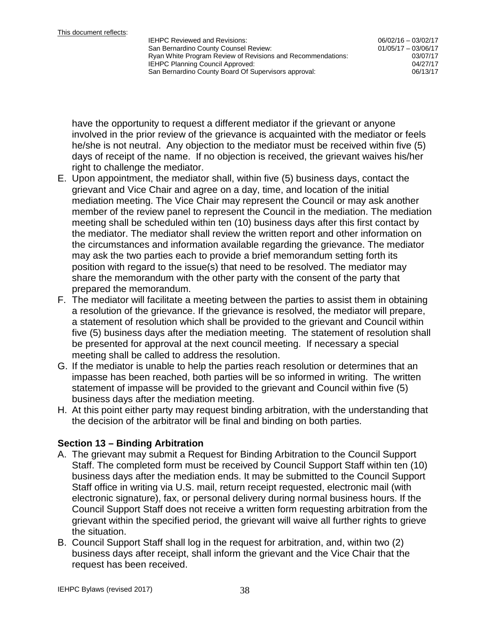06/02/16 – 03/02/17 01/05/17 – 03/06/17 03/07/17

have the opportunity to request a different mediator if the grievant or anyone involved in the prior review of the grievance is acquainted with the mediator or feels he/she is not neutral. Any objection to the mediator must be received within five (5) days of receipt of the name. If no objection is received, the grievant waives his/her right to challenge the mediator.

- E. Upon appointment, the mediator shall, within five (5) business days, contact the grievant and Vice Chair and agree on a day, time, and location of the initial mediation meeting. The Vice Chair may represent the Council or may ask another member of the review panel to represent the Council in the mediation. The mediation meeting shall be scheduled within ten (10) business days after this first contact by the mediator. The mediator shall review the written report and other information on the circumstances and information available regarding the grievance. The mediator may ask the two parties each to provide a brief memorandum setting forth its position with regard to the issue(s) that need to be resolved. The mediator may share the memorandum with the other party with the consent of the party that prepared the memorandum.
- F. The mediator will facilitate a meeting between the parties to assist them in obtaining a resolution of the grievance. If the grievance is resolved, the mediator will prepare, a statement of resolution which shall be provided to the grievant and Council within five (5) business days after the mediation meeting. The statement of resolution shall be presented for approval at the next council meeting. If necessary a special meeting shall be called to address the resolution.
- G. If the mediator is unable to help the parties reach resolution or determines that an impasse has been reached, both parties will be so informed in writing. The written statement of impasse will be provided to the grievant and Council within five (5) business days after the mediation meeting.
- H. At this point either party may request binding arbitration, with the understanding that the decision of the arbitrator will be final and binding on both parties.

## **Section 13 – Binding Arbitration**

- A. The grievant may submit a Request for Binding Arbitration to the Council Support Staff. The completed form must be received by Council Support Staff within ten (10) business days after the mediation ends. It may be submitted to the Council Support Staff office in writing via U.S. mail, return receipt requested, electronic mail (with electronic signature), fax, or personal delivery during normal business hours. If the Council Support Staff does not receive a written form requesting arbitration from the grievant within the specified period, the grievant will waive all further rights to grieve the situation.
- B. Council Support Staff shall log in the request for arbitration, and, within two (2) business days after receipt, shall inform the grievant and the Vice Chair that the request has been received.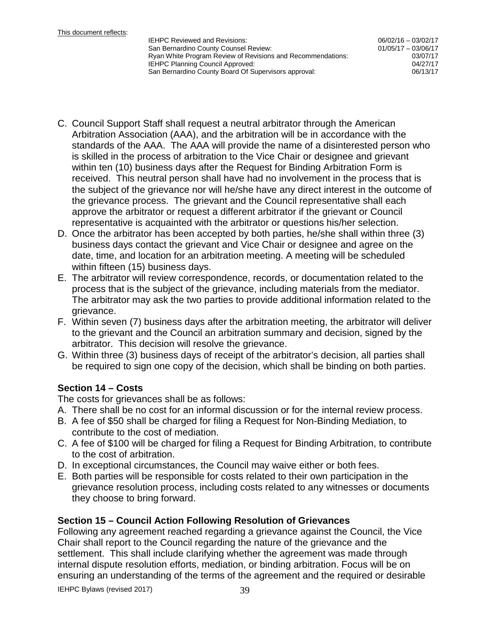06/02/16 – 03/02/17 01/05/17 – 03/06/17 03/07/17

- C. Council Support Staff shall request a neutral arbitrator through the American Arbitration Association (AAA), and the arbitration will be in accordance with the standards of the AAA. The AAA will provide the name of a disinterested person who is skilled in the process of arbitration to the Vice Chair or designee and grievant within ten (10) business days after the Request for Binding Arbitration Form is received. This neutral person shall have had no involvement in the process that is the subject of the grievance nor will he/she have any direct interest in the outcome of the grievance process. The grievant and the Council representative shall each approve the arbitrator or request a different arbitrator if the grievant or Council representative is acquainted with the arbitrator or questions his/her selection.
- D. Once the arbitrator has been accepted by both parties, he/she shall within three (3) business days contact the grievant and Vice Chair or designee and agree on the date, time, and location for an arbitration meeting. A meeting will be scheduled within fifteen (15) business days.
- E. The arbitrator will review correspondence, records, or documentation related to the process that is the subject of the grievance, including materials from the mediator. The arbitrator may ask the two parties to provide additional information related to the grievance.
- F. Within seven (7) business days after the arbitration meeting, the arbitrator will deliver to the grievant and the Council an arbitration summary and decision, signed by the arbitrator. This decision will resolve the grievance.
- G. Within three (3) business days of receipt of the arbitrator's decision, all parties shall be required to sign one copy of the decision, which shall be binding on both parties.

## **Section 14 – Costs**

The costs for grievances shall be as follows:

- A. There shall be no cost for an informal discussion or for the internal review process.
- B. A fee of \$50 shall be charged for filing a Request for Non-Binding Mediation, to contribute to the cost of mediation.
- C. A fee of \$100 will be charged for filing a Request for Binding Arbitration, to contribute to the cost of arbitration.
- D. In exceptional circumstances, the Council may waive either or both fees.
- E. Both parties will be responsible for costs related to their own participation in the grievance resolution process, including costs related to any witnesses or documents they choose to bring forward.

## **Section 15 – Council Action Following Resolution of Grievances**

Following any agreement reached regarding a grievance against the Council, the Vice Chair shall report to the Council regarding the nature of the grievance and the settlement. This shall include clarifying whether the agreement was made through internal dispute resolution efforts, mediation, or binding arbitration. Focus will be on ensuring an understanding of the terms of the agreement and the required or desirable